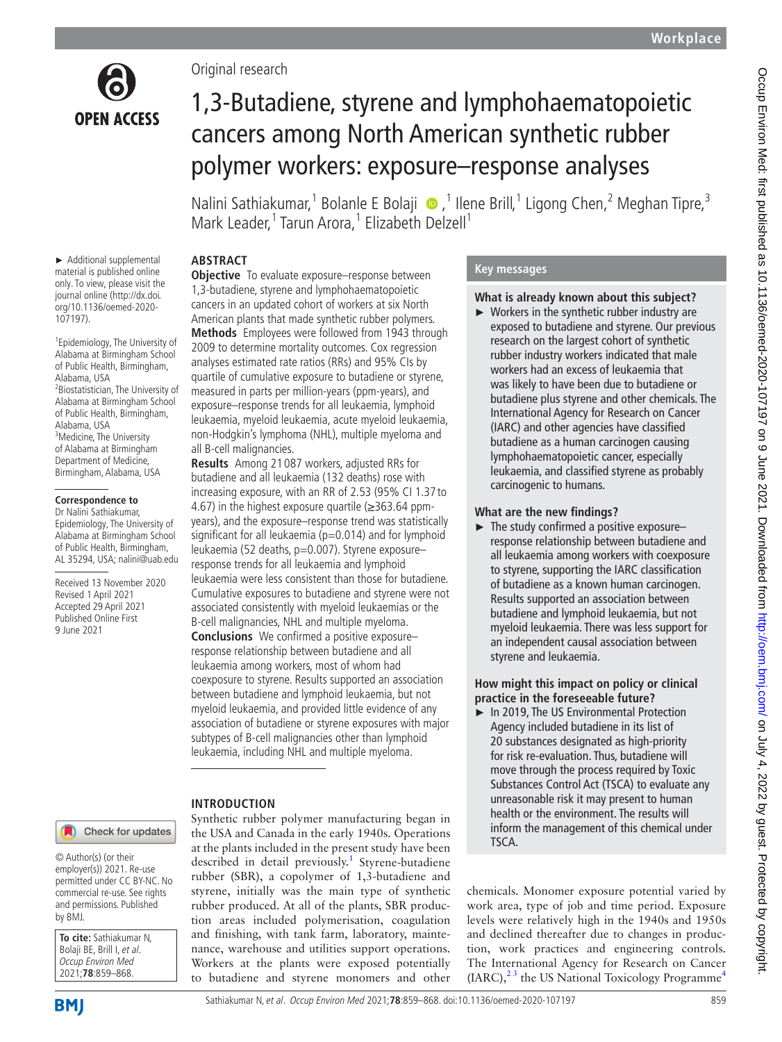

► Additional supplemental material is published online only. To view, please visit the journal online (http://dx.doi. org/10.1136/oemed-2020-

1 Epidemiology, The University of Alabama at Birmingham School of Public Health, Birmingham,

2 Biostatistician, The University of Alabama at Birmingham School of Public Health, Birmingham,

107197).

Alabama, USA

Alabama, USA <sup>3</sup>Medicine, The University of Alabama at Birmingham Department of Medicine, Birmingham, Alabama, USA

**Correspondence to** Dr Nalini Sathiakumar, Epidemiology, The University of Alabama at Birmingham School of Public Health, Birmingham, AL 35294, USA; nalini@uab.edu Received 13 November 2020 Revised 1 April 2021 Accepted 29 April 2021 Published Online First 9 June 2021

Original research

# 1,3-Butadiene, styrene and lymphohaematopoietic cancers among North American synthetic rubber polymer workers: exposure–response analyses

NaliniSathiakumar,<sup>1</sup> Bolanle E Bolaji ®,<sup>1</sup> Ilene Brill,<sup>1</sup> Ligong Chen,<sup>2</sup> Meghan Tipre,<sup>3</sup> Mark Leader,<sup>1</sup> Tarun Arora,<sup>1</sup> Elizabeth Delzell<sup>1</sup>

# **ABSTRACT**

**Objective** To evaluate exposure–response between 1,3-butadiene, styrene and lymphohaematopoietic cancers in an updated cohort of workers at six North American plants that made synthetic rubber polymers. **Methods** Employees were followed from 1943 through 2009 to determine mortality outcomes. Cox regression analyses estimated rate ratios (RRs) and 95% CIs by quartile of cumulative exposure to butadiene or styrene, measured in parts per million-years (ppm-years), and exposure–response trends for all leukaemia, lymphoid leukaemia, myeloid leukaemia, acute myeloid leukaemia, non-Hodgkin's lymphoma (NHL), multiple myeloma and all B-cell malignancies.

**Results** Among 21 087 workers, adjusted RRs for butadiene and all leukaemia (132 deaths) rose with increasing exposure, with an RR of 2.53 (95% CI 1.37 to 4.67) in the highest exposure quartile  $(\geq 363.64$  ppmyears), and the exposure–response trend was statistically significant for all leukaemia ( $p=0.014$ ) and for lymphoid leukaemia (52 deaths, p=0.007). Styrene exposureresponse trends for all leukaemia and lymphoid leukaemia were less consistent than those for butadiene. Cumulative exposures to butadiene and styrene were not associated consistently with myeloid leukaemias or the B-cell malignancies, NHL and multiple myeloma. **Conclusions** We confirmed a positive exposure– response relationship between butadiene and all leukaemia among workers, most of whom had coexposure to styrene. Results supported an association between butadiene and lymphoid leukaemia, but not myeloid leukaemia, and provided little evidence of any association of butadiene or styrene exposures with major subtypes of B-cell malignancies other than lymphoid

# **INTRODUCTION**

Synthetic rubber polymer manufacturing began in the USA and Canada in the early 1940s. Operations at the plants included in the present study have been described in detail previously.<sup>[1](#page-9-0)</sup> Styrene-butadiene rubber (SBR), a copolymer of 1,3-butadiene and styrene, initially was the main type of synthetic rubber produced. At all of the plants, SBR production areas included polymerisation, coagulation and finishing, with tank farm, laboratory, maintenance, warehouse and utilities support operations. Workers at the plants were exposed potentially to butadiene and styrene monomers and other

leukaemia, including NHL and multiple myeloma.

# **Key messages**

# **What is already known about this subject?**

► Workers in the synthetic rubber industry are exposed to butadiene and styrene. Our previous research on the largest cohort of synthetic rubber industry workers indicated that male workers had an excess of leukaemia that was likely to have been due to butadiene or butadiene plus styrene and other chemicals. The International Agency for Research on Cancer (IARC) and other agencies have classified butadiene as a human carcinogen causing lymphohaematopoietic cancer, especially leukaemia, and classified styrene as probably carcinogenic to humans.

# **What are the new findings?**

 $\blacktriangleright$  The study confirmed a positive exposure– response relationship between butadiene and all leukaemia among workers with coexposure to styrene, supporting the IARC classification of butadiene as a known human carcinogen. Results supported an association between butadiene and lymphoid leukaemia, but not myeloid leukaemia. There was less support for an independent causal association between styrene and leukaemia.

# **How might this impact on policy or clinical practice in the foreseeable future?**

► In 2019, The US Environmental Protection Agency included butadiene in its list of 20 substances designated as high-priority for risk re-evaluation. Thus, butadiene will move through the process required by Toxic Substances Control Act (TSCA) to evaluate any unreasonable risk it may present to human health or the environment. The results will inform the management of this chemical under TSCA.

chemicals. Monomer exposure potential varied by work area, type of job and time period. Exposure levels were relatively high in the 1940s and 1950s and declined thereafter due to changes in production, work practices and engineering controls. The International Agency for Research on Cancer  $(IARC)$ ,  $^{23}$  the US National Toxicology Programme<sup>[4](#page-9-2)</sup>

#### Check for updates

© Author(s) (or their employer(s)) 2021. Re-use permitted under CC BY-NC. No commercial re-use. See rights and permissions. Published by BMJ.

| <b>To cite:</b> Sathiakumar N, |
|--------------------------------|
| Bolaji BE, Brill I, et al.     |
| Occup Environ Med              |
| 2021;78:859-868.               |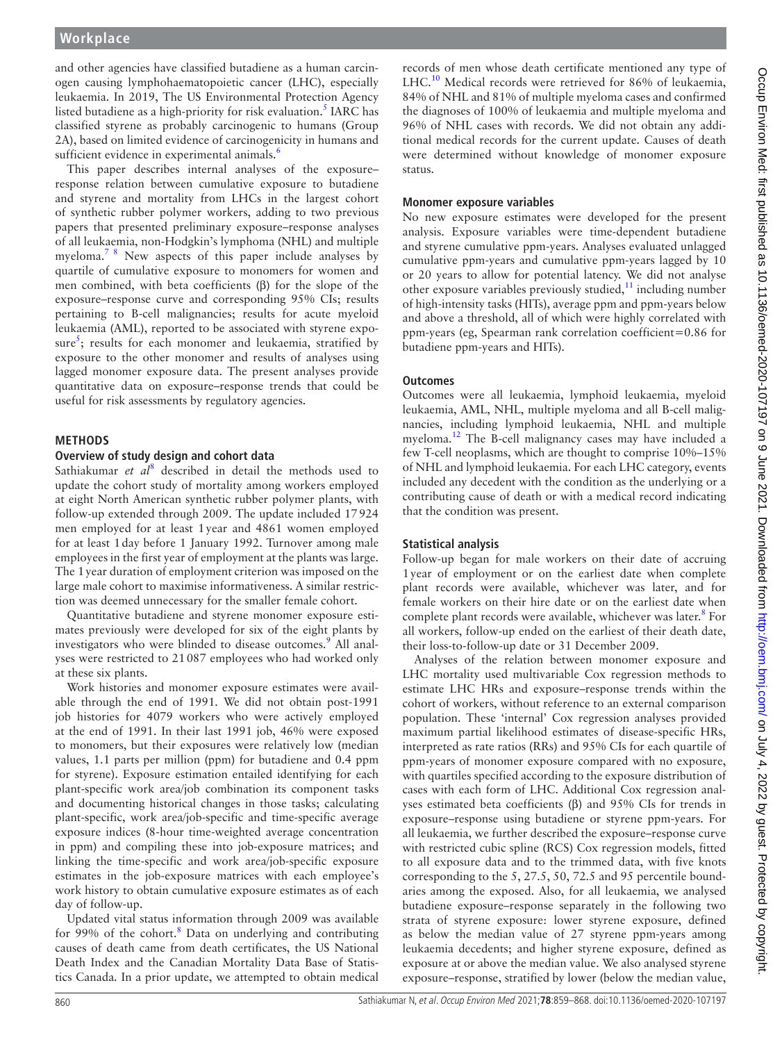and other agencies have classified butadiene as a human carcinogen causing lymphohaematopoietic cancer (LHC), especially leukaemia. In 2019, The US Environmental Protection Agency listed butadiene as a high-priority for risk evaluation.<sup>5</sup> IARC has classified styrene as probably carcinogenic to humans (Group 2A), based on limited evidence of carcinogenicity in humans and sufficient evidence in experimental animals.<sup>[6](#page-9-4)</sup>

This paper describes internal analyses of the exposure– response relation between cumulative exposure to butadiene and styrene and mortality from LHCs in the largest cohort of synthetic rubber polymer workers, adding to two previous papers that presented preliminary exposure–response analyses of all leukaemia, non-Hodgkin's lymphoma (NHL) and multiple myeloma.[7 8](#page-9-5) New aspects of this paper include analyses by quartile of cumulative exposure to monomers for women and men combined, with beta coefficients (β) for the slope of the exposure–response curve and corresponding 95% CIs; results pertaining to B-cell malignancies; results for acute myeloid leukaemia (AML), reported to be associated with styrene expo-sure<sup>[5](#page-9-3)</sup>; results for each monomer and leukaemia, stratified by exposure to the other monomer and results of analyses using lagged monomer exposure data. The present analyses provide quantitative data on exposure–response trends that could be useful for risk assessments by regulatory agencies.

# **METHODS**

# **Overview of study design and cohort data**

Sathiakumar et al<sup>[8](#page-9-6)</sup> described in detail the methods used to update the cohort study of mortality among workers employed at eight North American synthetic rubber polymer plants, with follow-up extended through 2009. The update included 17924 men employed for at least 1year and 4861 women employed for at least 1day before 1 January 1992. Turnover among male employees in the first year of employment at the plants was large. The 1year duration of employment criterion was imposed on the large male cohort to maximise informativeness. A similar restriction was deemed unnecessary for the smaller female cohort.

Quantitative butadiene and styrene monomer exposure estimates previously were developed for six of the eight plants by investigators who were blinded to disease outcomes.<sup>[9](#page-9-7)</sup> All analyses were restricted to 21087 employees who had worked only at these six plants.

Work histories and monomer exposure estimates were available through the end of 1991. We did not obtain post-1991 job histories for 4079 workers who were actively employed at the end of 1991. In their last 1991 job, 46% were exposed to monomers, but their exposures were relatively low (median values, 1.1 parts per million (ppm) for butadiene and 0.4 ppm for styrene). Exposure estimation entailed identifying for each plant-specific work area/job combination its component tasks and documenting historical changes in those tasks; calculating plant-specific, work area/job-specific and time-specific average exposure indices (8-hour time-weighted average concentration in ppm) and compiling these into job-exposure matrices; and linking the time-specific and work area/job-specific exposure estimates in the job-exposure matrices with each employee's work history to obtain cumulative exposure estimates as of each day of follow-up.

Updated vital status information through 2009 was available for 99% of the cohort.<sup>[8](#page-9-6)</sup> Data on underlying and contributing causes of death came from death certificates, the US National Death Index and the Canadian Mortality Data Base of Statistics Canada. In a prior update, we attempted to obtain medical

records of men whose death certificate mentioned any type of LHC.<sup>[10](#page-9-8)</sup> Medical records were retrieved for 86% of leukaemia, 84% of NHL and 81% of multiple myeloma cases and confirmed the diagnoses of 100% of leukaemia and multiple myeloma and 96% of NHL cases with records. We did not obtain any additional medical records for the current update. Causes of death were determined without knowledge of monomer exposure status.

#### **Monomer exposure variables**

No new exposure estimates were developed for the present analysis. Exposure variables were time-dependent butadiene and styrene cumulative ppm-years. Analyses evaluated unlagged cumulative ppm-years and cumulative ppm-years lagged by 10 or 20 years to allow for potential latency. We did not analyse other exposure variables previously studied, $11$  including number of high-intensity tasks (HITs), average ppm and ppm-years below and above a threshold, all of which were highly correlated with ppm-years (eg, Spearman rank correlation coefficient=0.86 for butadiene ppm-years and HITs).

# **Outcomes**

Outcomes were all leukaemia, lymphoid leukaemia, myeloid leukaemia, AML, NHL, multiple myeloma and all B-cell malignancies, including lymphoid leukaemia, NHL and multiple myeloma.[12](#page-9-10) The B-cell malignancy cases may have included a few T-cell neoplasms, which are thought to comprise 10%–15% of NHL and lymphoid leukaemia. For each LHC category, events included any decedent with the condition as the underlying or a contributing cause of death or with a medical record indicating that the condition was present.

# **Statistical analysis**

Follow-up began for male workers on their date of accruing 1year of employment or on the earliest date when complete plant records were available, whichever was later, and for female workers on their hire date or on the earliest date when complete plant records were available, whichever was later.<sup>8</sup> For all workers, follow-up ended on the earliest of their death date, their loss-to-follow-up date or 31 December 2009.

Analyses of the relation between monomer exposure and LHC mortality used multivariable Cox regression methods to estimate LHC HRs and exposure–response trends within the cohort of workers, without reference to an external comparison population. These 'internal' Cox regression analyses provided maximum partial likelihood estimates of disease-specific HRs, interpreted as rate ratios (RRs) and 95% CIs for each quartile of ppm-years of monomer exposure compared with no exposure, with quartiles specified according to the exposure distribution of cases with each form of LHC. Additional Cox regression analyses estimated beta coefficients (β) and 95% CIs for trends in exposure–response using butadiene or styrene ppm-years. For all leukaemia, we further described the exposure–response curve with restricted cubic spline (RCS) Cox regression models, fitted to all exposure data and to the trimmed data, with five knots corresponding to the 5, 27.5, 50, 72.5 and 95 percentile boundaries among the exposed. Also, for all leukaemia, we analysed butadiene exposure–response separately in the following two strata of styrene exposure: lower styrene exposure, defined as below the median value of 27 styrene ppm-years among leukaemia decedents; and higher styrene exposure, defined as exposure at or above the median value. We also analysed styrene exposure–response, stratified by lower (below the median value,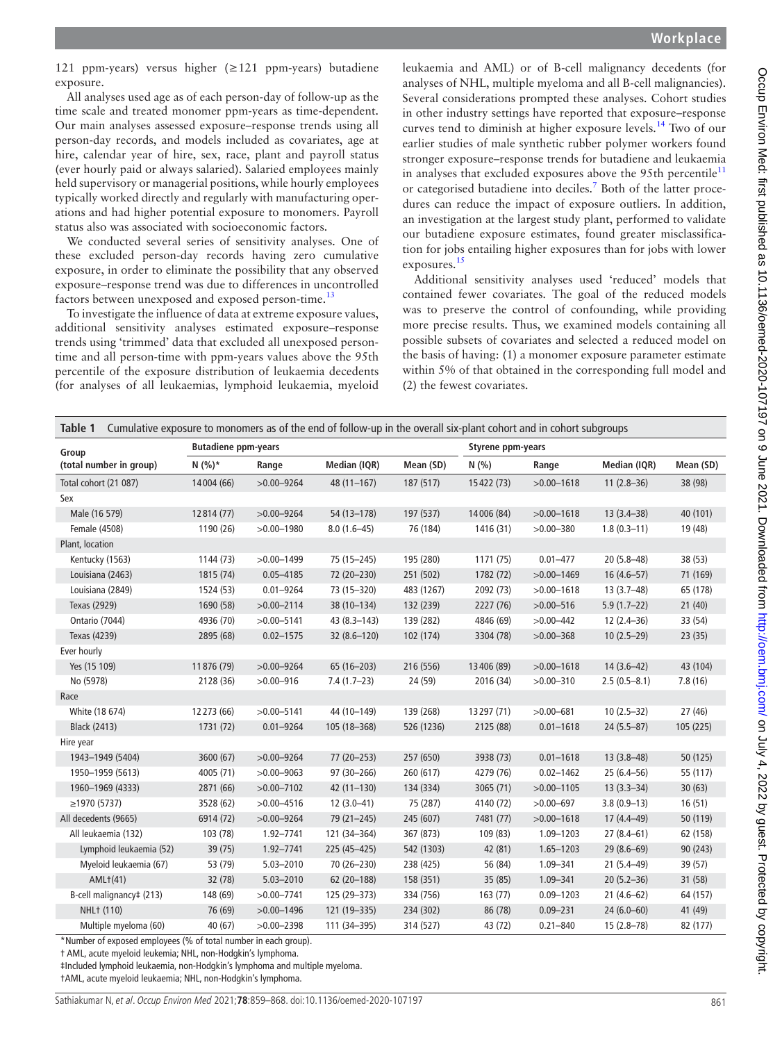121 ppm-years) versus higher (≥121 ppm-years) butadiene exposure.

All analyses used age as of each person-day of follow-up as the time scale and treated monomer ppm-years as time-dependent. Our main analyses assessed exposure–response trends using all person-day records, and models included as covariates, age at hire, calendar year of hire, sex, race, plant and payroll status (ever hourly paid or always salaried). Salaried employees mainly held supervisory or managerial positions, while hourly employees typically worked directly and regularly with manufacturing operations and had higher potential exposure to monomers. Payroll status also was associated with socioeconomic factors.

We conducted several series of sensitivity analyses. One of these excluded person-day records having zero cumulative exposure, in order to eliminate the possibility that any observed exposure–response trend was due to differences in uncontrolled factors between unexposed and exposed person-time.<sup>13</sup>

To investigate the influence of data at extreme exposure values, additional sensitivity analyses estimated exposure–response trends using 'trimmed' data that excluded all unexposed persontime and all person-time with ppm-years values above the 95th percentile of the exposure distribution of leukaemia decedents (for analyses of all leukaemias, lymphoid leukaemia, myeloid leukaemia and AML) or of B-cell malignancy decedents (for analyses of NHL, multiple myeloma and all B-cell malignancies). Several considerations prompted these analyses. Cohort studies in other industry settings have reported that exposure–response curves tend to diminish at higher exposure levels.[14](#page-9-12) Two of our earlier studies of male synthetic rubber polymer workers found stronger exposure–response trends for butadiene and leukaemia in analyses that excluded exposures above the 95th percentile<sup>[11](#page-9-9)</sup> or categorised butadiene into deciles.<sup>[7](#page-9-5)</sup> Both of the latter procedures can reduce the impact of exposure outliers. In addition, an investigation at the largest study plant, performed to validate our butadiene exposure estimates, found greater misclassification for jobs entailing higher exposures than for jobs with lower exposures.[15](#page-9-13)

Additional sensitivity analyses used 'reduced' models that contained fewer covariates. The goal of the reduced models was to preserve the control of confounding, while providing more precise results. Thus, we examined models containing all possible subsets of covariates and selected a reduced model on the basis of having: (1) a monomer exposure parameter estimate within 5% of that obtained in the corresponding full model and (2) the fewest covariates.

<span id="page-2-0"></span>

| Cumulative exposure to monomers as of the end of follow-up in the overall six-plant cohort and in cohort subgroups<br>Table 1 |              |                |                 |                   |             |                |                |           |
|-------------------------------------------------------------------------------------------------------------------------------|--------------|----------------|-----------------|-------------------|-------------|----------------|----------------|-----------|
| <b>Butadiene ppm-years</b><br>Group                                                                                           |              |                |                 | Styrene ppm-years |             |                |                |           |
| (total number in group)                                                                                                       | $N(%)*$      | Range          | Median (IQR)    | Mean (SD)         | N(%         | Range          | Median (IQR)   | Mean (SD) |
| Total cohort (21 087)                                                                                                         | 14004 (66)   | $>0.00 - 9264$ | $48(11-167)$    | 187 (517)         | 15422 (73)  | $>0.00 - 1618$ | $11(2.8-36)$   | 38 (98)   |
| Sex                                                                                                                           |              |                |                 |                   |             |                |                |           |
| Male (16 579)                                                                                                                 | 12814 (77)   | $>0.00 - 9264$ | 54 (13-178)     | 197 (537)         | 14006 (84)  | $>0.00 - 1618$ | $13(3.4 - 38)$ | 40 (101)  |
| Female (4508)                                                                                                                 | 1190 (26)    | $>0.00 - 1980$ | $8.0(1.6-45)$   | 76 (184)          | 1416 (31)   | $>0.00 - 380$  | $1.8(0.3-11)$  | 19 (48)   |
| Plant, location                                                                                                               |              |                |                 |                   |             |                |                |           |
| Kentucky (1563)                                                                                                               | 1144 (73)    | $>0.00 - 1499$ | 75 (15-245)     | 195 (280)         | 1171 (75)   | $0.01 - 477$   | $20(5.8 - 48)$ | 38 (53)   |
| Louisiana (2463)                                                                                                              | 1815 (74)    | $0.05 - 4185$  | 72 (20-230)     | 251 (502)         | 1782 (72)   | $>0.00 - 1469$ | $16(4.6 - 57)$ | 71 (169)  |
| Louisiana (2849)                                                                                                              | 1524 (53)    | $0.01 - 9264$  | 73 (15-320)     | 483 (1267)        | 2092 (73)   | $>0.00 - 1618$ | $13(3.7-48)$   | 65 (178)  |
| Texas (2929)                                                                                                                  | 1690 (58)    | $>0.00 - 2114$ | 38 (10-134)     | 132 (239)         | 2227 (76)   | $>0.00 - 516$  | $5.9(1.7-22)$  | 21(40)    |
| Ontario (7044)                                                                                                                | 4936 (70)    | $>0.00 - 5141$ | 43 (8.3-143)    | 139 (282)         | 4846 (69)   | $>0.00 - 442$  | $12(2.4 - 36)$ | 33 (54)   |
| Texas (4239)                                                                                                                  | 2895 (68)    | $0.02 - 1575$  | $32(8.6 - 120)$ | 102 (174)         | 3304 (78)   | $>0.00 - 368$  | $10(2.5-29)$   | 23(35)    |
| Ever hourly                                                                                                                   |              |                |                 |                   |             |                |                |           |
| Yes (15 109)                                                                                                                  | 11876 (79)   | $>0.00 - 9264$ | 65 (16-203)     | 216 (556)         | 13 406 (89) | $>0.00 - 1618$ | $14(3.6-42)$   | 43 (104)  |
| No (5978)                                                                                                                     | 2128 (36)    | $>0.00 - 916$  | $7.4(1.7-23)$   | 24 (59)           | 2016 (34)   | $>0.00 - 310$  | $2.5(0.5-8.1)$ | 7.8(16)   |
| Race                                                                                                                          |              |                |                 |                   |             |                |                |           |
| White (18 674)                                                                                                                | 12 2 73 (66) | $>0.00 - 5141$ | 44 (10-149)     | 139 (268)         | 13297 (71)  | $>0.00 - 681$  | $10(2.5-32)$   | 27(46)    |
| <b>Black (2413)</b>                                                                                                           | 1731 (72)    | $0.01 - 9264$  | 105 (18-368)    | 526 (1236)        | 2125 (88)   | $0.01 - 1618$  | $24(5.5-87)$   | 105 (225) |
| Hire year                                                                                                                     |              |                |                 |                   |             |                |                |           |
| 1943-1949 (5404)                                                                                                              | 3600 (67)    | $>0.00 - 9264$ | 77 (20-253)     | 257 (650)         | 3938 (73)   | $0.01 - 1618$  | $13(3.8-48)$   | 50 (125)  |
| 1950-1959 (5613)                                                                                                              | 4005 (71)    | $>0.00 - 9063$ | 97 (30-266)     | 260 (617)         | 4279 (76)   | $0.02 - 1462$  | $25(6.4 - 56)$ | 55 (117)  |
| 1960-1969 (4333)                                                                                                              | 2871 (66)    | $>0.00 - 7102$ | $42(11-130)$    | 134 (334)         | 3065(71)    | $>0.00 - 1105$ | $13(3.3 - 34)$ | 30(63)    |
| ≥1970(5737)                                                                                                                   | 3528 (62)    | $>0.00 - 4516$ | $12(3.0-41)$    | 75 (287)          | 4140 (72)   | $>0.00 - 697$  | $3.8(0.9-13)$  | 16(51)    |
| All decedents (9665)                                                                                                          | 6914 (72)    | $>0.00 - 9264$ | 79 (21-245)     | 245 (607)         | 7481 (77)   | $>0.00 - 1618$ | $17(4.4 - 49)$ | 50 (119)  |
| All leukaemia (132)                                                                                                           | 103 (78)     | 1.92-7741      | 121 (34-364)    | 367 (873)         | 109 (83)    | 1.09-1203      | $27(8.4 - 61)$ | 62 (158)  |
| Lymphoid leukaemia (52)                                                                                                       | 39 (75)      | 1.92-7741      | 225 (45-425)    | 542 (1303)        | 42 (81)     | 1.65-1203      | $29(8.6-69)$   | 90 (243)  |
| Myeloid leukaemia (67)                                                                                                        | 53 (79)      | $5.03 - 2010$  | 70 (26-230)     | 238 (425)         | 56 (84)     | 1.09-341       | $21(5.4 - 49)$ | 39 (57)   |
| AML <sub>1</sub> (41)                                                                                                         | 32 (78)      | $5.03 - 2010$  | 62 (20-188)     | 158 (351)         | 35(85)      | 1.09-341       | $20(5.2 - 36)$ | 31(58)    |
| B-cell malignancy‡ (213)                                                                                                      | 148 (69)     | $>0.00 - 7741$ | 125 (29-373)    | 334 (756)         | 163(77)     | $0.09 - 1203$  | $21(4.6-62)$   | 64 (157)  |
| NHL+ (110)                                                                                                                    | 76 (69)      | $>0.00 - 1496$ | 121 (19 - 335)  | 234 (302)         | 86 (78)     | $0.09 - 231$   | $24(6.0-60)$   | 41 (49)   |
| Multiple myeloma (60)                                                                                                         | 40 (67)      | $>0.00 - 2398$ | 111 (34-395)    | 314 (527)         | 43 (72)     | $0.21 - 840$   | $15(2.8-78)$   | 82 (177)  |

\*Number of exposed employees (% of total number in each group).

† AML, acute myeloid leukemia; NHL, non-Hodgkin's lymphoma.

‡Included lymphoid leukaemia, non-Hodgkin's lymphoma and multiple myeloma.

†AML, acute myeloid leukaemia; NHL, non-Hodgkin's lymphoma.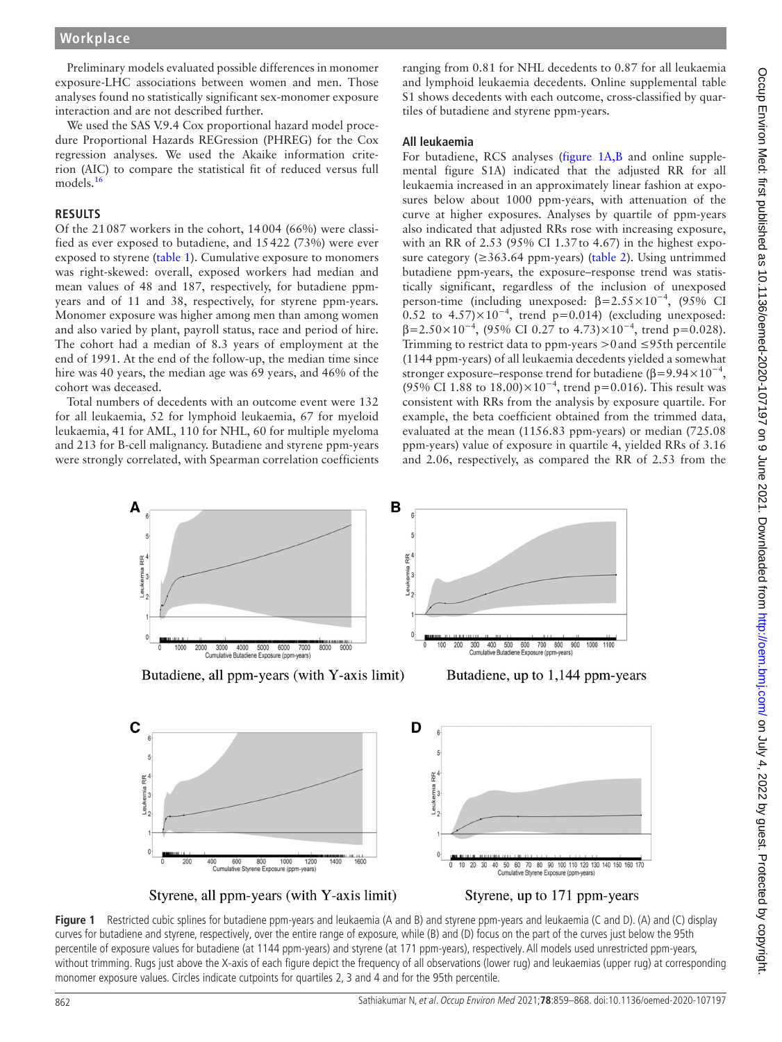# **Workplace**

Preliminary models evaluated possible differences in monomer exposure-LHC associations between women and men. Those analyses found no statistically significant sex-monomer exposure interaction and are not described further.

We used the SAS V.9.4 Cox proportional hazard model procedure Proportional Hazards REGression (PHREG) for the Cox regression analyses. We used the Akaike information criterion (AIC) to compare the statistical fit of reduced versus full models.<sup>[16](#page-9-14)</sup>

#### **RESULTS**

Of the 21087 workers in the cohort, 14004 (66%) were classified as ever exposed to butadiene, and 15422 (73%) were ever exposed to styrene [\(table](#page-2-0) 1). Cumulative exposure to monomers was right-skewed: overall, exposed workers had median and mean values of 48 and 187, respectively, for butadiene ppmyears and of 11 and 38, respectively, for styrene ppm-years. Monomer exposure was higher among men than among women and also varied by plant, payroll status, race and period of hire. The cohort had a median of 8.3 years of employment at the end of 1991. At the end of the follow-up, the median time since hire was 40 years, the median age was 69 years, and 46% of the cohort was deceased.

Total numbers of decedents with an outcome event were 132 for all leukaemia, 52 for lymphoid leukaemia, 67 for myeloid leukaemia, 41 for AML, 110 for NHL, 60 for multiple myeloma and 213 for B-cell malignancy. Butadiene and styrene ppm-years were strongly correlated, with Spearman correlation coefficients

ranging from 0.81 for NHL decedents to 0.87 for all leukaemia and lymphoid leukaemia decedents. [Online supplemental table](https://dx.doi.org/10.1136/oemed-2020-107197) [S1](https://dx.doi.org/10.1136/oemed-2020-107197) shows decedents with each outcome, cross-classified by quartiles of butadiene and styrene ppm-years.

#### **All leukaemia**

For butadiene, RCS analyses ([figure](#page-3-0) 1A,B and [online supple](https://dx.doi.org/10.1136/oemed-2020-107197)[mental figure S1A](https://dx.doi.org/10.1136/oemed-2020-107197)) indicated that the adjusted RR for all leukaemia increased in an approximately linear fashion at exposures below about 1000 ppm-years, with attenuation of the curve at higher exposures. Analyses by quartile of ppm-years also indicated that adjusted RRs rose with increasing exposure, with an RR of 2.53 (95% CI 1.37to 4.67) in the highest exposure category (≥363.64 ppm-years) ([table](#page-4-0) 2). Using untrimmed butadiene ppm-years, the exposure–response trend was statistically significant, regardless of the inclusion of unexposed person-time (including unexposed:  $\beta = 2.55 \times 10^{-4}$ , (95% CI 0.52 to  $4.57 \times 10^{-4}$ , trend p=0.014) (excluding unexposed:  $\beta$ =2.50×10<sup>-4</sup>, (95% CI 0.27 to 4.73)×10<sup>-4</sup>, trend p=0.028). Trimming to restrict data to ppm-years  $>0$  and  $\leq$ 95th percentile (1144 ppm-years) of all leukaemia decedents yielded a somewhat stronger exposure–response trend for butadiene ( $\beta$ =9.94×10<sup>-4</sup>, (95% CI 1.88 to 18.00)×10<sup>-4</sup>, trend p=0.016). This result was consistent with RRs from the analysis by exposure quartile. For example, the beta coefficient obtained from the trimmed data, evaluated at the mean (1156.83 ppm-years) or median (725.08 ppm-years) value of exposure in quartile 4, yielded RRs of 3.16 and 2.06, respectively, as compared the RR of 2.53 from the







<span id="page-3-0"></span>Styrene, all ppm-years (with Y-axis limit)



**Figure 1** Restricted cubic splines for butadiene ppm-years and leukaemia (A and B) and styrene ppm-years and leukaemia (C and D). (A) and (C) display curves for butadiene and styrene, respectively, over the entire range of exposure, while (B) and (D) focus on the part of the curves just below the 95th percentile of exposure values for butadiene (at 1144 ppm-years) and styrene (at 171 ppm-years), respectively. All models used unrestricted ppm-years, without trimming. Rugs just above the X-axis of each figure depict the frequency of all observations (lower rug) and leukaemias (upper rug) at corresponding monomer exposure values. Circles indicate cutpoints for quartiles 2, 3 and 4 and for the 95th percentile.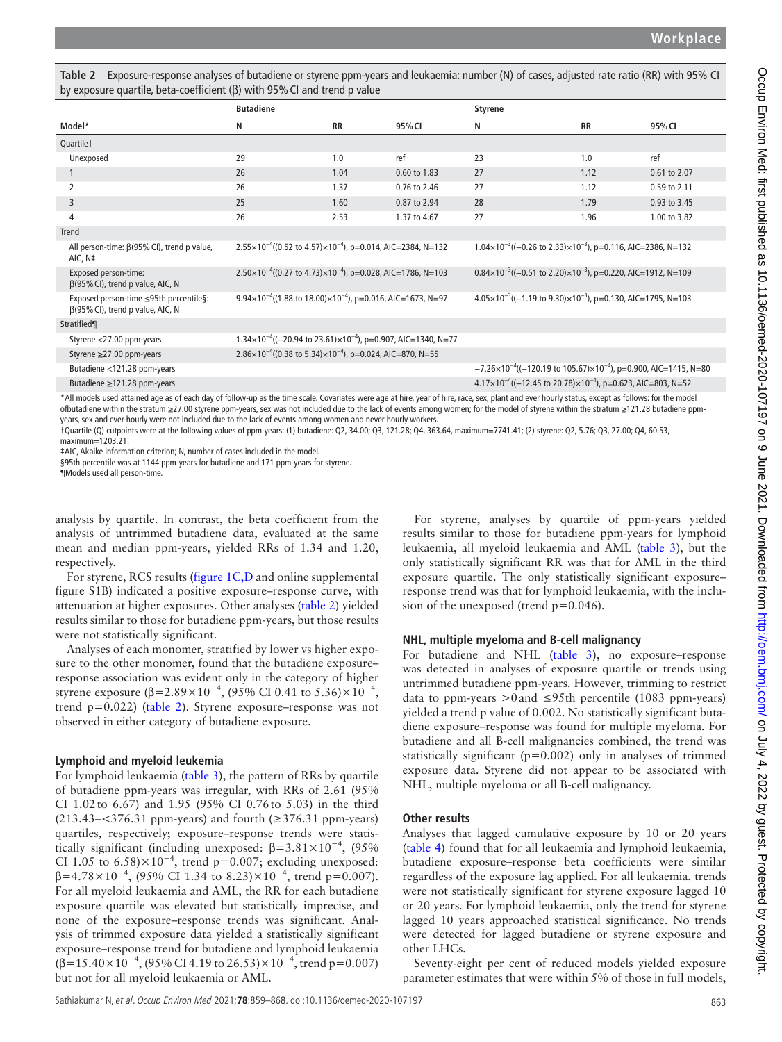|                                                                                                                                                                                                                                                                                                                                                                                                                                                                                                                                                                                                                                                                                                                                                                                                                                                                                                                                 | <b>Butadiene</b> |                                                                                    |                                                                                      | <b>Styrene</b> |                                                                                         |              |
|---------------------------------------------------------------------------------------------------------------------------------------------------------------------------------------------------------------------------------------------------------------------------------------------------------------------------------------------------------------------------------------------------------------------------------------------------------------------------------------------------------------------------------------------------------------------------------------------------------------------------------------------------------------------------------------------------------------------------------------------------------------------------------------------------------------------------------------------------------------------------------------------------------------------------------|------------------|------------------------------------------------------------------------------------|--------------------------------------------------------------------------------------|----------------|-----------------------------------------------------------------------------------------|--------------|
| Model*                                                                                                                                                                                                                                                                                                                                                                                                                                                                                                                                                                                                                                                                                                                                                                                                                                                                                                                          | N                | <b>RR</b>                                                                          | 95% CI                                                                               | N              | <b>RR</b>                                                                               | 95% CI       |
| Quartilet                                                                                                                                                                                                                                                                                                                                                                                                                                                                                                                                                                                                                                                                                                                                                                                                                                                                                                                       |                  |                                                                                    |                                                                                      |                |                                                                                         |              |
| Unexposed                                                                                                                                                                                                                                                                                                                                                                                                                                                                                                                                                                                                                                                                                                                                                                                                                                                                                                                       | 29               | 1.0                                                                                | ref                                                                                  | 23             | 1.0                                                                                     | ref          |
| $\mathbf{1}$                                                                                                                                                                                                                                                                                                                                                                                                                                                                                                                                                                                                                                                                                                                                                                                                                                                                                                                    | 26               | 1.04                                                                               | 0.60 to 1.83                                                                         | 27             | 1.12                                                                                    | 0.61 to 2.07 |
| 2                                                                                                                                                                                                                                                                                                                                                                                                                                                                                                                                                                                                                                                                                                                                                                                                                                                                                                                               | 26               | 1.37                                                                               | 0.76 to 2.46                                                                         | 27             | 1.12                                                                                    | 0.59 to 2.11 |
| 3                                                                                                                                                                                                                                                                                                                                                                                                                                                                                                                                                                                                                                                                                                                                                                                                                                                                                                                               | 25               | 1.60                                                                               | 0.87 to 2.94                                                                         | 28             | 1.79                                                                                    | 0.93 to 3.45 |
| 4                                                                                                                                                                                                                                                                                                                                                                                                                                                                                                                                                                                                                                                                                                                                                                                                                                                                                                                               | 26               | 2.53                                                                               | 1.37 to 4.67                                                                         | 27             | 1.96                                                                                    | 1.00 to 3.82 |
| <b>Trend</b>                                                                                                                                                                                                                                                                                                                                                                                                                                                                                                                                                                                                                                                                                                                                                                                                                                                                                                                    |                  |                                                                                    |                                                                                      |                |                                                                                         |              |
| All person-time: $\beta(95\%$ CI), trend p value,<br>AIC, N‡                                                                                                                                                                                                                                                                                                                                                                                                                                                                                                                                                                                                                                                                                                                                                                                                                                                                    |                  | $2.55 \times 10^{-4}$ ((0.52 to 4.57) $\times 10^{-4}$ ), p=0.014, AIC=2384, N=132 |                                                                                      |                | $1.04 \times 10^{-3}$ ((-0.26 to 2.33) $\times 10^{-3}$ ), p=0.116, AIC=2386, N=132     |              |
| Exposed person-time:<br>$\beta$ (95% CI), trend p value, AIC, N                                                                                                                                                                                                                                                                                                                                                                                                                                                                                                                                                                                                                                                                                                                                                                                                                                                                 |                  | $2.50\times10^{-4}$ ((0.27 to 4.73) $\times10^{-4}$ ), p=0.028, AIC=1786, N=103    |                                                                                      |                | $0.84 \times 10^{-3}$ ((-0.51 to 2.20) $\times 10^{-3}$ ), p=0.220, AIC=1912, N=109     |              |
| Exposed person-time ≤95th percentile§:<br>$\beta$ (95% CI), trend p value, AIC, N                                                                                                                                                                                                                                                                                                                                                                                                                                                                                                                                                                                                                                                                                                                                                                                                                                               |                  | $9.94 \times 10^{-4}$ ((1.88 to 18.00) $\times 10^{-4}$ ), p=0.016, AIC=1673, N=97 |                                                                                      |                | $4.05 \times 10^{-3}$ ((-1.19 to 9.30) $\times 10^{-3}$ ), p=0.130, AIC=1795, N=103     |              |
| Stratified¶                                                                                                                                                                                                                                                                                                                                                                                                                                                                                                                                                                                                                                                                                                                                                                                                                                                                                                                     |                  |                                                                                    |                                                                                      |                |                                                                                         |              |
| Styrene <27.00 ppm-years                                                                                                                                                                                                                                                                                                                                                                                                                                                                                                                                                                                                                                                                                                                                                                                                                                                                                                        |                  |                                                                                    | $1.34 \times 10^{-4}$ ((-20.94 to 23.61) $\times 10^{-4}$ ), p=0.907, AIC=1340, N=77 |                |                                                                                         |              |
| Styrene ≥27.00 ppm-years                                                                                                                                                                                                                                                                                                                                                                                                                                                                                                                                                                                                                                                                                                                                                                                                                                                                                                        |                  | 2.86×10 <sup>-4</sup> ((0.38 to 5.34)×10 <sup>-4</sup> ), p=0.024, AIC=870, N=55   |                                                                                      |                |                                                                                         |              |
| Butadiene <121.28 ppm-years                                                                                                                                                                                                                                                                                                                                                                                                                                                                                                                                                                                                                                                                                                                                                                                                                                                                                                     |                  |                                                                                    |                                                                                      |                | $-7.26 \times 10^{-4}$ ((-120.19 to 105.67) $\times 10^{-4}$ ), p=0.900, AIC=1415, N=80 |              |
| Butadiene ≥121.28 ppm-years                                                                                                                                                                                                                                                                                                                                                                                                                                                                                                                                                                                                                                                                                                                                                                                                                                                                                                     |                  |                                                                                    |                                                                                      |                | $4.17 \times 10^{-4}$ ((-12.45 to 20.78) $\times 10^{-4}$ ), p=0.623, AIC=803, N=52     |              |
| *All models used attained age as of each day of follow-up as the time scale. Covariates were age at hire, year of hire, race, sex, plant and ever hourly status, except as follows: for the model<br>ofbutadiene within the stratum ≥27.00 styrene ppm-years, sex was not included due to the lack of events among women; for the model of styrene within the stratum ≥121.28 butadiene ppm-<br>years, sex and ever-hourly were not included due to the lack of events among women and never hourly workers.<br>1Quartile (Q) cutpoints were at the following values of ppm-years: (1) butadiene: Q2, 34.00; Q3, 121.28; Q4, 363.64, maximum=7741.41; (2) styrene: Q2, 5.76; Q3, 27.00; Q4, 60.53,<br>maximum=1203.21.<br>#AIC, Akaike information criterion; N, number of cases included in the model.<br>§95th percentile was at 1144 ppm-years for butadiene and 171 ppm-years for styrene.<br>¶Models used all person-time. |                  |                                                                                    |                                                                                      |                |                                                                                         |              |

<span id="page-4-0"></span>

| Table 2 Exposure-response analyses of butadiene or styrene ppm-years and leukaemia: number (N) of cases, adjusted rate ratio (RR) with 95% CI |  |
|-----------------------------------------------------------------------------------------------------------------------------------------------|--|
| by exposure quartile, beta-coefficient ( $\beta$ ) with 95% CI and trend p value                                                              |  |

¶Models used all person-time.

analysis by quartile. In contrast, the beta coefficient from the analysis of untrimmed butadiene data, evaluated at the same mean and median ppm-years, yielded RRs of 1.34 and 1.20, respectively.

For styrene, RCS results [\(figure](#page-3-0) 1C,D and [online supplemental](https://dx.doi.org/10.1136/oemed-2020-107197)  [figure S1B\)](https://dx.doi.org/10.1136/oemed-2020-107197) indicated a positive exposure–response curve, with attenuation at higher exposures. Other analyses ([table](#page-4-0) 2) yielded results similar to those for butadiene ppm-years, but those results were not statistically significant.

Analyses of each monomer, stratified by lower vs higher exposure to the other monomer, found that the butadiene exposure– response association was evident only in the category of higher styrene exposure (β=2.89×10<sup>-4</sup>, (95% CI 0.41 to 5.36)×10<sup>-4</sup>, trend p=0.022) [\(table](#page-4-0) 2). Styrene exposure–response was not observed in either category of butadiene exposure.

#### **Lymphoid and myeloid leukemia**

For lymphoid leukaemia ([table](#page-5-0) 3), the pattern of RRs by quartile of butadiene ppm-years was irregular, with RRs of 2.61 (95% CI 1.02to 6.67) and 1.95 (95% CI 0.76to 5.03) in the third (213.43– $<376.31$  ppm-years) and fourth ( $\geq$ 376.31 ppm-years) quartiles, respectively; exposure–response trends were statistically significant (including unexposed:  $\beta = 3.81 \times 10^{-4}$ , (95% CI 1.05 to 6.58) $\times$ 10<sup>-4</sup>, trend p=0.007; excluding unexposed:  $β=4.78\times10^{-4}$ , (95% CI 1.34 to 8.23)×10<sup>-4</sup>, trend p=0.007). For all myeloid leukaemia and AML, the RR for each butadiene exposure quartile was elevated but statistically imprecise, and none of the exposure–response trends was significant. Analysis of trimmed exposure data yielded a statistically significant exposure–response trend for butadiene and lymphoid leukaemia  $(\beta=15.40\times10^{-4}, (95\% \text{ CI } 4.19 \text{ to } 26.53)\times10^{-4}, \text{trend } p=0.007)$ but not for all myeloid leukaemia or AML.

For styrene, analyses by quartile of ppm-years yielded results similar to those for butadiene ppm-years for lymphoid leukaemia, all myeloid leukaemia and AML ([table](#page-5-0) 3), but the only statistically significant RR was that for AML in the third exposure quartile. The only statistically significant exposure– response trend was that for lymphoid leukaemia, with the inclusion of the unexposed (trend  $p=0.046$ ).

# **NHL, multiple myeloma and B-cell malignancy**

For butadiene and NHL [\(table](#page-5-0) 3), no exposure–response was detected in analyses of exposure quartile or trends using untrimmed butadiene ppm-years. However, trimming to restrict data to ppm-years >0 and ≤95th percentile (1083 ppm-years) yielded a trend p value of 0.002. No statistically significant butadiene exposure–response was found for multiple myeloma. For butadiene and all B-cell malignancies combined, the trend was statistically significant ( $p=0.002$ ) only in analyses of trimmed exposure data. Styrene did not appear to be associated with NHL, multiple myeloma or all B-cell malignancy.

# **Other results**

Analyses that lagged cumulative exposure by 10 or 20 years ([table](#page-7-0) 4) found that for all leukaemia and lymphoid leukaemia, butadiene exposure–response beta coefficients were similar regardless of the exposure lag applied. For all leukaemia, trends were not statistically significant for styrene exposure lagged 10 or 20 years. For lymphoid leukaemia, only the trend for styrene lagged 10 years approached statistical significance. No trends were detected for lagged butadiene or styrene exposure and other LHCs.

Seventy-eight per cent of reduced models yielded exposure parameter estimates that were within 5% of those in full models,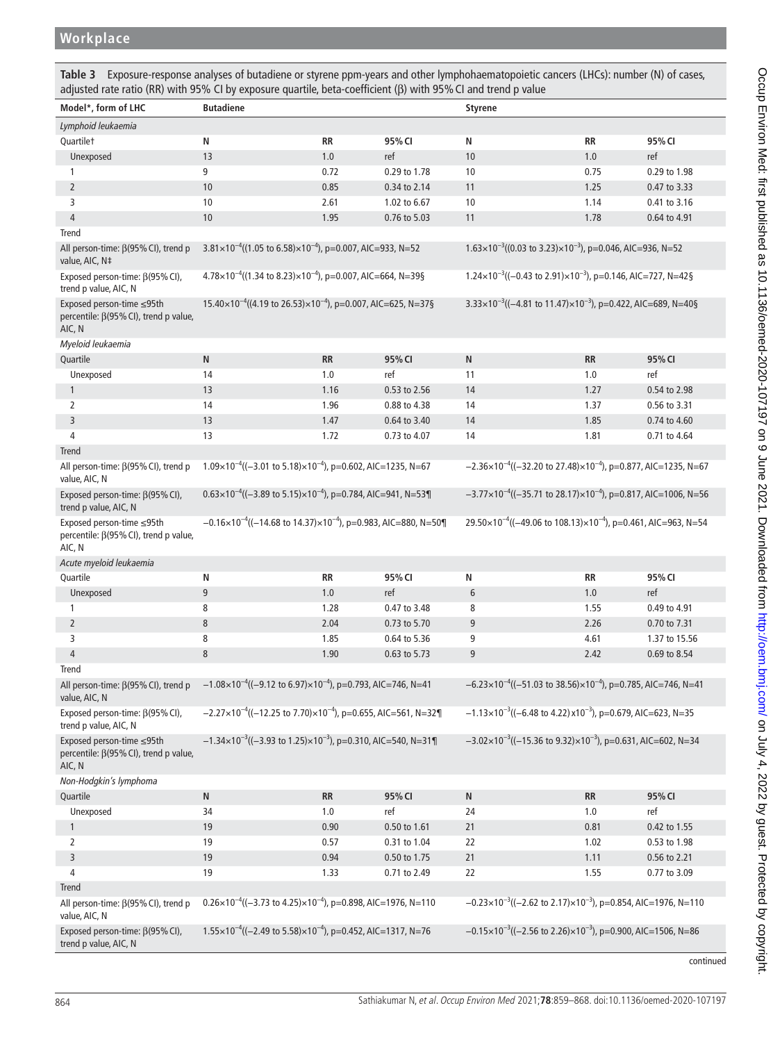<span id="page-5-0"></span>**Table 3** Exposure-response analyses of butadiene or styrene ppm-years and other lymphohaematopoietic cancers (LHCs): number (N) of cases, adjusted rate ratio (RR) with 95% CI by exposure quartile, beta-coefficient (β) with 95%CI and trend p value

| Model*, form of LHC                                                                                                                            | <b>Butadiene</b>                                                                                                                                                            |      |              | <b>Styrene</b>                                                                        |           |               |
|------------------------------------------------------------------------------------------------------------------------------------------------|-----------------------------------------------------------------------------------------------------------------------------------------------------------------------------|------|--------------|---------------------------------------------------------------------------------------|-----------|---------------|
|                                                                                                                                                |                                                                                                                                                                             |      |              |                                                                                       |           |               |
| Lymphoid leukaemia                                                                                                                             |                                                                                                                                                                             |      |              |                                                                                       |           |               |
| Quartilet                                                                                                                                      | Ν                                                                                                                                                                           | RR   | 95% CI       | N                                                                                     | RR        | 95% CI        |
| Unexposed                                                                                                                                      | 13                                                                                                                                                                          | 1.0  | ref          | 10                                                                                    | 1.0       | ref           |
| 1                                                                                                                                              | 9                                                                                                                                                                           | 0.72 | 0.29 to 1.78 | 10                                                                                    | 0.75      | 0.29 to 1.98  |
| $\overline{2}$                                                                                                                                 | 10                                                                                                                                                                          | 0.85 | 0.34 to 2.14 | 11                                                                                    | 1.25      | 0.47 to 3.33  |
| 3                                                                                                                                              | 10                                                                                                                                                                          | 2.61 | 1.02 to 6.67 | 10                                                                                    | 1.14      | 0.41 to 3.16  |
| $\overline{4}$                                                                                                                                 | 10                                                                                                                                                                          | 1.95 | 0.76 to 5.03 | 11                                                                                    | 1.78      | 0.64 to 4.91  |
| Trend                                                                                                                                          |                                                                                                                                                                             |      |              |                                                                                       |           |               |
| All person-time: β(95% CI), trend p<br>value, AIC, N‡                                                                                          | $3.81 \times 10^{-4}$ ((1.05 to 6.58) $\times 10^{-4}$ ), p=0.007, AIC=933, N=52                                                                                            |      |              | $1.63 \times 10^{-3}$ ((0.03 to 3.23) $\times 10^{-3}$ ), p=0.046, AIC=936, N=52      |           |               |
| Exposed person-time: $\beta$ (95% CI),<br>trend p value, AIC, N                                                                                | $4.78 \times 10^{-4}$ ((1.34 to 8.23) $\times 10^{-4}$ ), p=0.007, AIC=664, N=39§<br>$1.24 \times 10^{-3}$ ((-0.43 to 2.91) $\times 10^{-3}$ ), p=0.146, AIC=727, N=42§     |      |              |                                                                                       |           |               |
| Exposed person-time ≤95th<br>percentile: $\beta(95\%$ CI), trend p value,<br>AIC, N                                                            | $15.40 \times 10^{-4}$ ((4.19 to 26.53) $\times 10^{-4}$ ), p=0.007, AIC=625, N=37§                                                                                         |      |              | 3.33×10 <sup>-3</sup> ((-4.81 to 11.47)×10 <sup>-3</sup> ), p=0.422, AIC=689, N=40§   |           |               |
| Myeloid leukaemia                                                                                                                              |                                                                                                                                                                             |      |              |                                                                                       |           |               |
| Quartile                                                                                                                                       | ${\sf N}$                                                                                                                                                                   | RR   | 95% CI       | N                                                                                     | <b>RR</b> | 95% CI        |
| Unexposed                                                                                                                                      | 14                                                                                                                                                                          | 1.0  | ref          | 11                                                                                    | 1.0       | ref           |
| $\mathbf{1}$                                                                                                                                   | 13                                                                                                                                                                          | 1.16 | 0.53 to 2.56 | 14                                                                                    | 1.27      | 0.54 to 2.98  |
| $\overline{2}$                                                                                                                                 | 14                                                                                                                                                                          | 1.96 | 0.88 to 4.38 | 14                                                                                    | 1.37      | 0.56 to 3.31  |
| $\overline{3}$                                                                                                                                 | 13                                                                                                                                                                          | 1.47 | 0.64 to 3.40 | 14                                                                                    | 1.85      | 0.74 to 4.60  |
| 4                                                                                                                                              | 13                                                                                                                                                                          | 1.72 | 0.73 to 4.07 | 14                                                                                    | 1.81      | 0.71 to 4.64  |
| Trend                                                                                                                                          |                                                                                                                                                                             |      |              |                                                                                       |           |               |
| All person-time: $\beta$ (95% CI), trend p<br>value, AIC, N                                                                                    | $1.09 \times 10^{-4}$ ((-3.01 to 5.18) $\times 10^{-4}$ ), p=0.602, AIC=1235, N=67<br>$-2.36 \times 10^{-4}$ ((-32.20 to 27.48) $\times 10^{-4}$ ), p=0.877, AIC=1235, N=67 |      |              |                                                                                       |           |               |
| Exposed person-time: $\beta$ (95% CI),<br>trend p value, AIC, N                                                                                | $0.63 \times 10^{-4}$ ((-3.89 to 5.15) $\times 10^{-4}$ ), p=0.784, AIC=941, N=53¶<br>$-3.77 \times 10^{-4}$ ((-35.71 to 28.17) $\times 10^{-4}$ ), p=0.817, AIC=1006, N=56 |      |              |                                                                                       |           |               |
| Exposed person-time ≤95th<br>percentile: β(95% CI), trend p value,<br>AIC, N                                                                   | $-0.16 \times 10^{-4}$ ((-14.68 to 14.37) $\times 10^{-4}$ ), p=0.983, AIC=880, N=50¶                                                                                       |      |              | 29.50×10 <sup>-4</sup> ((-49.06 to 108.13)×10 <sup>-4</sup> ), p=0.461, AIC=963, N=54 |           |               |
| Acute myeloid leukaemia                                                                                                                        |                                                                                                                                                                             |      |              |                                                                                       |           |               |
| Quartile                                                                                                                                       | Ν                                                                                                                                                                           | RR   | 95% CI       | N                                                                                     | <b>RR</b> | 95% CI        |
| Unexposed                                                                                                                                      | $9\,$                                                                                                                                                                       | 1.0  | ref          | 6                                                                                     | 1.0       | ref           |
| 1                                                                                                                                              | 8                                                                                                                                                                           | 1.28 | 0.47 to 3.48 | 8                                                                                     | 1.55      | 0.49 to 4.91  |
| $\overline{2}$                                                                                                                                 | $\,8\,$                                                                                                                                                                     | 2.04 | 0.73 to 5.70 | 9                                                                                     | 2.26      | 0.70 to 7.31  |
| 3                                                                                                                                              | 8                                                                                                                                                                           | 1.85 | 0.64 to 5.36 | 9                                                                                     | 4.61      | 1.37 to 15.56 |
| $\overline{4}$                                                                                                                                 | 8                                                                                                                                                                           | 1.90 | 0.63 to 5.73 | 9                                                                                     | 2.42      | 0.69 to 8.54  |
| Trend                                                                                                                                          |                                                                                                                                                                             |      |              |                                                                                       |           |               |
| All person-time: $\beta$ (95% CI), trend p -1.08×10 <sup>-4</sup> ((-9.12 to 6.97)×10 <sup>-4</sup> ), p=0.793, AIC=746, N=41<br>value, AIC, N |                                                                                                                                                                             |      |              | $-6.23 \times 10^{-4}$ ((-51.03 to 38.56) $\times 10^{-4}$ ), p=0.785, AIC=746, N=41  |           |               |
| Exposed person-time: $\beta$ (95% CI),<br>trend p value, AIC, N                                                                                | $-2.27 \times 10^{-4}$ ((-12.25 to 7.70) $\times 10^{-4}$ ), p=0.655, AIC=561, N=32¶<br>$-1.13\times10^{-3}$ ((-6.48 to 4.22) x10 <sup>-3</sup> ), p=0.679, AIC=623, N=35   |      |              |                                                                                       |           |               |
| Exposed person-time ≤95th<br>percentile: β(95% CI), trend p value,<br>AIC, N                                                                   | $-1.34 \times 10^{-3}$ ((-3.93 to 1.25) $\times 10^{-3}$ ), p=0.310, AIC=540, N=31¶<br>$-3.02 \times 10^{-3}$ ((-15.36 to 9.32) $\times 10^{-3}$ ), p=0.631, AIC=602, N=34  |      |              |                                                                                       |           |               |
| Non-Hodgkin's lymphoma                                                                                                                         |                                                                                                                                                                             |      |              |                                                                                       |           |               |
| Quartile                                                                                                                                       | ${\sf N}$                                                                                                                                                                   | RR   | 95% CI       | N                                                                                     | RR        | 95% CI        |
| Unexposed                                                                                                                                      | 34                                                                                                                                                                          | 1.0  | ref          | 24                                                                                    | 1.0       | ref           |
| $\mathbf{1}$                                                                                                                                   | 19                                                                                                                                                                          | 0.90 | 0.50 to 1.61 | 21                                                                                    | 0.81      | 0.42 to 1.55  |
| 2                                                                                                                                              | 19                                                                                                                                                                          | 0.57 | 0.31 to 1.04 | 22                                                                                    | 1.02      | 0.53 to 1.98  |
| 3                                                                                                                                              | 19                                                                                                                                                                          | 0.94 | 0.50 to 1.75 | $21$                                                                                  | 1.11      | 0.56 to 2.21  |
| 4                                                                                                                                              | 19                                                                                                                                                                          | 1.33 | 0.71 to 2.49 | 22                                                                                    | 1.55      | 0.77 to 3.09  |
| <b>Trend</b>                                                                                                                                   |                                                                                                                                                                             |      |              |                                                                                       |           |               |
| All person-time: $\beta$ (95% CI), trend p<br>value, AIC, N                                                                                    | $0.26 \times 10^{-4}$ ((-3.73 to 4.25) $\times 10^{-4}$ ), p=0.898, AIC=1976, N=110<br>$-0.23 \times 10^{-3}$ ((-2.62 to 2.17) $\times 10^{-3}$ ), p=0.854, AIC=1976, N=110 |      |              |                                                                                       |           |               |
| Exposed person-time: $\beta$ (95% CI),<br>trend p value, AIC, N                                                                                | $1.55 \times 10^{-4}$ ((-2.49 to 5.58) $\times 10^{-4}$ ), p=0.452, AIC=1317, N=76<br>$-0.15 \times 10^{-3}$ ((-2.56 to 2.26) $\times 10^{-3}$ ), p=0.900, AIC=1506, N=86   |      |              |                                                                                       |           |               |

continued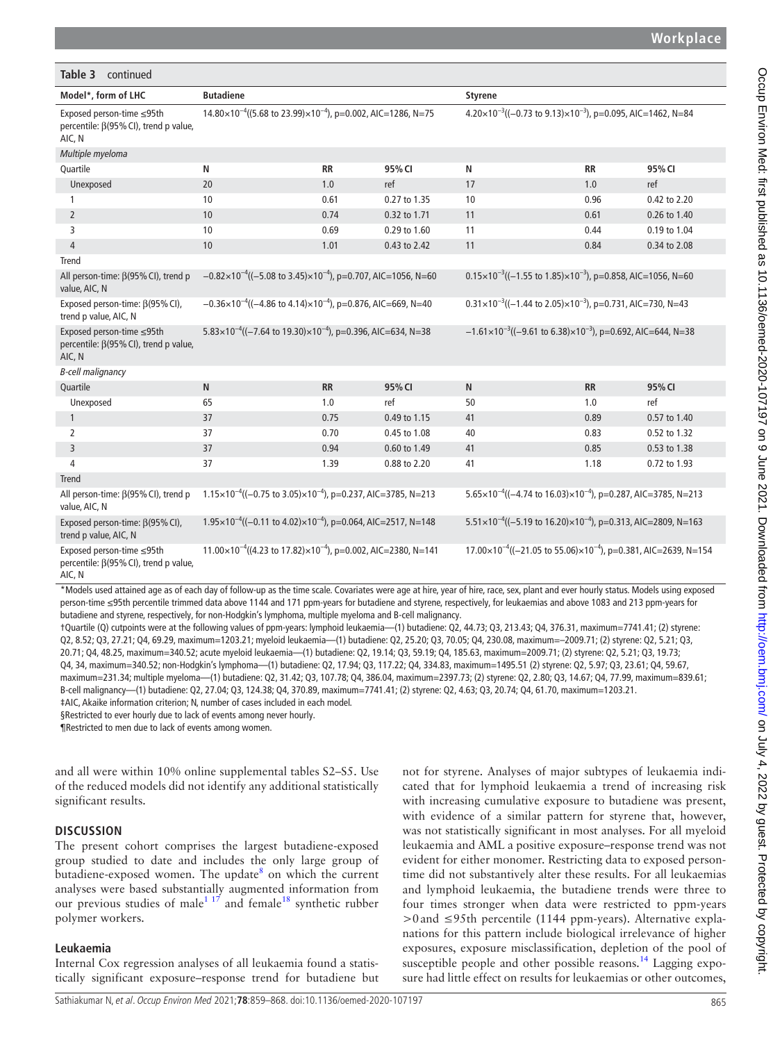| Table 3<br>continued                                                                |                                                                                      |           |              |                                                                                        |           |              |
|-------------------------------------------------------------------------------------|--------------------------------------------------------------------------------------|-----------|--------------|----------------------------------------------------------------------------------------|-----------|--------------|
| Model*, form of LHC                                                                 | <b>Butadiene</b>                                                                     |           |              | <b>Styrene</b>                                                                         |           |              |
| Exposed person-time ≤95th<br>percentile: $\beta$ (95% CI), trend p value,<br>AIC, N | $14.80 \times 10^{-4}$ ((5.68 to 23.99) $\times 10^{-4}$ ), p=0.002, AIC=1286, N=75  |           |              | 4.20×10 <sup>-3</sup> ((-0.73 to 9.13)×10 <sup>-3</sup> ), p=0.095, AIC=1462, N=84     |           |              |
| Multiple myeloma                                                                    |                                                                                      |           |              |                                                                                        |           |              |
| Quartile                                                                            | N                                                                                    | <b>RR</b> | 95% CI       | N                                                                                      | <b>RR</b> | 95% CI       |
| Unexposed                                                                           | 20                                                                                   | 1.0       | ref          | 17                                                                                     | 1.0       | ref          |
| 1                                                                                   | 10                                                                                   | 0.61      | 0.27 to 1.35 | 10                                                                                     | 0.96      | 0.42 to 2.20 |
| $\overline{2}$                                                                      | 10                                                                                   | 0.74      | 0.32 to 1.71 | 11                                                                                     | 0.61      | 0.26 to 1.40 |
| 3                                                                                   | 10                                                                                   | 0.69      | 0.29 to 1.60 | 11                                                                                     | 0.44      | 0.19 to 1.04 |
| $\overline{4}$                                                                      | 10                                                                                   | 1.01      | 0.43 to 2.42 | 11                                                                                     | 0.84      | 0.34 to 2.08 |
| Trend                                                                               |                                                                                      |           |              |                                                                                        |           |              |
| All person-time: β(95% CI), trend p<br>value, AIC, N                                | $-0.82 \times 10^{-4}$ ((-5.08 to 3.45) $\times 10^{-4}$ ), p=0.707, AIC=1056, N=60  |           |              | $0.15\times10^{-3}$ ((-1.55 to 1.85) $\times10^{-3}$ ), p=0.858, AIC=1056, N=60        |           |              |
| Exposed person-time: $\beta$ (95% CI),<br>trend p value, AIC, N                     | $-0.36 \times 10^{-4}$ ((-4.86 to 4.14) $\times 10^{-4}$ ), p=0.876, AIC=669, N=40   |           |              | $0.31 \times 10^{-3}$ ((-1.44 to 2.05) $\times 10^{-3}$ ), p=0.731, AIC=730, N=43      |           |              |
| Exposed person-time ≤95th<br>percentile: $\beta(95\%$ CI), trend p value,<br>AIC, N | $5.83 \times 10^{-4}$ ((-7.64 to 19.30) $\times 10^{-4}$ ), p=0.396, AIC=634, N=38   |           |              | $-1.61 \times 10^{-3}$ ((-9.61 to 6.38) $\times 10^{-3}$ ), p=0.692, AIC=644, N=38     |           |              |
| <b>B-cell malignancy</b>                                                            |                                                                                      |           |              |                                                                                        |           |              |
| Quartile                                                                            | N                                                                                    | <b>RR</b> | 95% CI       | $\mathsf{N}$                                                                           | <b>RR</b> | 95% CI       |
| Unexposed                                                                           | 65                                                                                   | 1.0       | ref          | 50                                                                                     | 1.0       | ref          |
| $\mathbf{1}$                                                                        | 37                                                                                   | 0.75      | 0.49 to 1.15 | 41                                                                                     | 0.89      | 0.57 to 1.40 |
| $\overline{2}$                                                                      | 37                                                                                   | 0.70      | 0.45 to 1.08 | 40                                                                                     | 0.83      | 0.52 to 1.32 |
| $\overline{3}$                                                                      | 37                                                                                   | 0.94      | 0.60 to 1.49 | 41                                                                                     | 0.85      | 0.53 to 1.38 |
| 4                                                                                   | 37                                                                                   | 1.39      | 0.88 to 2.20 | 41                                                                                     | 1.18      | 0.72 to 1.93 |
| <b>Trend</b>                                                                        |                                                                                      |           |              |                                                                                        |           |              |
| All person-time: β(95% CI), trend p<br>value, AIC, N                                | $1.15 \times 10^{-4}$ ((-0.75 to 3.05) $\times 10^{-4}$ ), p=0.237, AIC=3785, N=213  |           |              | $5.65 \times 10^{-4}$ ((-4.74 to 16.03) $\times 10^{-4}$ ), p=0.287, AIC=3785, N=213   |           |              |
| Exposed person-time: $\beta$ (95% CI),<br>trend p value, AIC, N                     | $1.95 \times 10^{-4}$ ((-0.11 to 4.02) $\times 10^{-4}$ ), p=0.064, AIC=2517, N=148  |           |              | $5.51 \times 10^{-4}$ ((-5.19 to 16.20) $\times 10^{-4}$ ), p=0.313, AIC=2809, N=163   |           |              |
| Exposed person-time ≤95th<br>percentile: $\beta$ (95% CI), trend p value,<br>AIC, N | $11.00 \times 10^{-4}$ ((4.23 to 17.82) $\times 10^{-4}$ ), p=0.002, AIC=2380, N=141 |           |              | $17.00 \times 10^{-4}$ ((-21.05 to 55.06) $\times 10^{-4}$ ), p=0.381, AIC=2639, N=154 |           |              |

\*Models used attained age as of each day of follow-up as the time scale. Covariates were age at hire, year of hire, race, sex, plant and ever hourly status. Models using exposed person-time ≤95th percentile trimmed data above 1144 and 171 ppm-years for butadiene and styrene, respectively, for leukaemias and above 1083 and 213 ppm-years for butadiene and styrene, respectively, for non-Hodgkin's lymphoma, multiple myeloma and B-cell malignancy.

†Quartile (Q) cutpoints were at the following values of ppm-years: lymphoid leukaemia—(1) butadiene: Q2, 44.73; Q3, 213.43; Q4, 376.31, maximum=7741.41; (2) styrene: Q2, 8.52; Q3, 27.21; Q4, 69.29, maximum=1203.21; myeloid leukaemia—(1) butadiene: Q2, 25.20; Q3, 70.05; Q4, 230.08, maximum=–2009.71; (2) styrene: Q2, 5.21; Q3, 20.71; Q4, 48.25, maximum=340.52; acute myeloid leukaemia—(1) butadiene: Q2, 19.14; Q3, 59.19; Q4, 185.63, maximum=2009.71; (2) styrene: Q2, 5.21; Q3, 19.73; Q4, 34, maximum=340.52; non-Hodgkin's lymphoma—(1) butadiene: Q2, 17.94; Q3, 117.22; Q4, 334.83, maximum=1495.51 (2) styrene: Q2, 5.97; Q3, 23.61; Q4, 59.67, maximum=231.34; multiple myeloma—(1) butadiene: Q2, 31.42; Q3, 107.78; Q4, 386.04, maximum=2397.73; (2) styrene: Q2, 2.80; Q3, 14.67; Q4, 77.99, maximum=839.61; B-cell malignancy—(1) butadiene: Q2, 27.04; Q3, 124.38; Q4, 370.89, maximum=7741.41; (2) styrene: Q2, 4.63; Q3, 20.74; Q4, 61.70, maximum=1203.21. ‡AIC, Akaike information criterion; N, number of cases included in each model.

§Restricted to ever hourly due to lack of events among never hourly.

¶Restricted to men due to lack of events among women.

and all were within 10% [online supplemental tables S2–S5.](https://dx.doi.org/10.1136/oemed-2020-107197) Use of the reduced models did not identify any additional statistically significant results.

# **DISCUSSION**

The present cohort comprises the largest butadiene-exposed group studied to date and includes the only large group of butadiene-exposed women. The update<sup>8</sup> on which the current analyses were based substantially augmented information from our previous studies of male<sup>117</sup> and female<sup>[18](#page-9-15)</sup> synthetic rubber polymer workers.

# **Leukaemia**

Internal Cox regression analyses of all leukaemia found a statistically significant exposure–response trend for butadiene but not for styrene. Analyses of major subtypes of leukaemia indicated that for lymphoid leukaemia a trend of increasing risk with increasing cumulative exposure to butadiene was present, with evidence of a similar pattern for styrene that, however, was not statistically significant in most analyses. For all myeloid leukaemia and AML a positive exposure–response trend was not evident for either monomer. Restricting data to exposed persontime did not substantively alter these results. For all leukaemias and lymphoid leukaemia, the butadiene trends were three to four times stronger when data were restricted to ppm-years >0and ≤95th percentile (1144 ppm-years). Alternative explanations for this pattern include biological irrelevance of higher exposures, exposure misclassification, depletion of the pool of susceptible people and other possible reasons.<sup>[14](#page-9-12)</sup> Lagging exposure had little effect on results for leukaemias or other outcomes,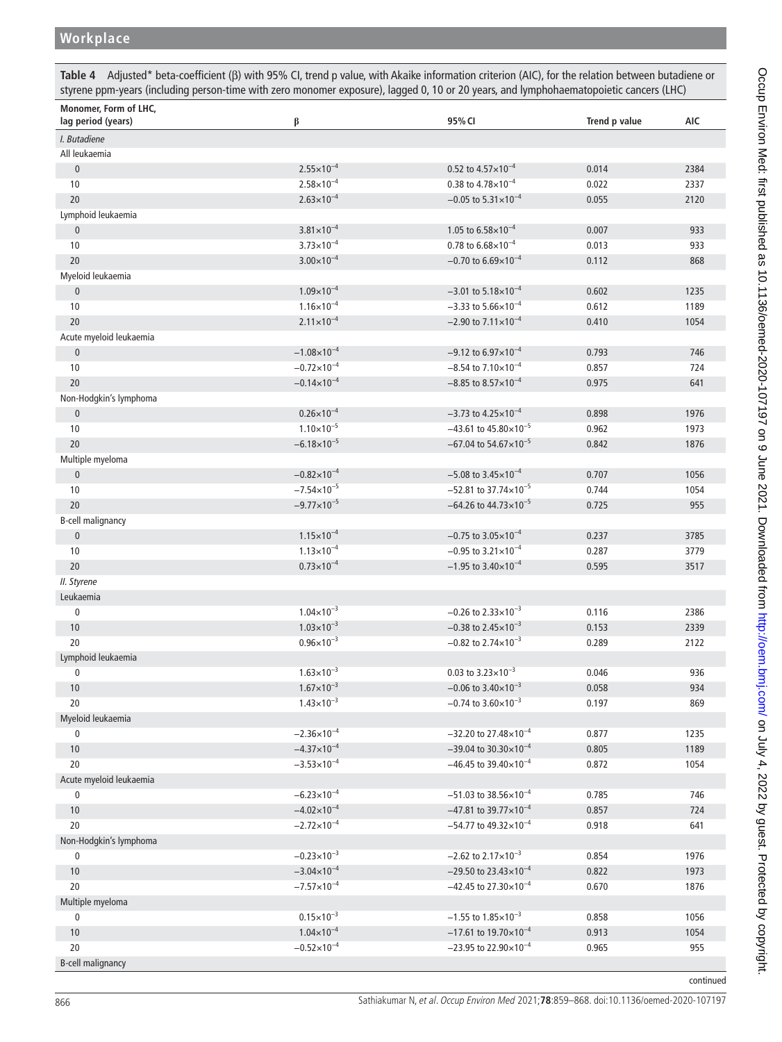# **Workplace**

<span id="page-7-0"></span>**Table 4** Adjusted\* beta-coefficient (β) with 95% CI, trend p value, with Akaike information criterion (AIC), for the relation between butadiene or styrene ppm-years (including person-time with zero monomer exposure), lagged 0, 10 or 20 years, and lymphohaematopoietic cancers (LHC)

| I. Butadiene<br>All leukaemia<br>$2.55 \times 10^{-4}$<br>$\pmb{0}$<br>0.52 to $4.57 \times 10^{-4}$<br>0.014<br>2384<br>$2.58 \times 10^{-4}$<br>0.38 to $4.78\times10^{-4}$<br>10<br>0.022<br>2337<br>$-0.05$ to $5.31 \times 10^{-4}$<br>$2.63 \times 10^{-4}$<br>20<br>2120<br>0.055<br>Lymphoid leukaemia<br>$3.81 \times 10^{-4}$<br>$\pmb{0}$<br>1.05 to $6.58 \times 10^{-4}$<br>0.007<br>933<br>$3.73 \times 10^{-4}$<br>0.78 to $6.68\times10^{-4}$<br>10<br>933<br>0.013<br>$3.00 \times 10^{-4}$<br>$-0.70$ to 6.69 $\times$ 10 <sup>-4</sup><br>20<br>0.112<br>868<br>Myeloid leukaemia<br>$1.09\times10^{-4}$<br>$-3.01$ to 5.18 $\times$ 10 <sup>-4</sup><br>$\pmb{0}$<br>0.602<br>1235<br>$1.16 \times 10^{-4}$<br>$-3.33$ to 5.66 $\times$ 10 <sup>-4</sup><br>1189<br>10<br>0.612<br>$2.11 \times 10^{-4}$<br>$-2.90$ to $7.11 \times 10^{-4}$<br>20<br>1054<br>0.410<br>Acute myeloid leukaemia<br>$-1.08\times10^{-4}$<br>$-9.12$ to 6.97 $\times$ 10 <sup>-4</sup><br>$\pmb{0}$<br>0.793<br>746<br>$-0.72\times10^{-4}$<br>$-8.54$ to 7.10 $\times$ 10 <sup>-4</sup><br>10<br>0.857<br>724<br>$-0.14 \times 10^{-4}$<br>$-8.85$ to 8.57 $\times$ 10 <sup>-4</sup><br>20<br>0.975<br>641<br>Non-Hodgkin's lymphoma<br>$0.26 \times 10^{-4}$<br>$-3.73$ to 4.25 $\times$ 10 <sup>-4</sup><br>1976<br>$\pmb{0}$<br>0.898<br>$1.10\times10^{-5}$<br>$-43.61$ to $45.80 \times 10^{-5}$<br>10<br>0.962<br>1973<br>$-6.18 \times 10^{-5}$<br>$-67.04$ to 54.67 $\times$ 10 <sup>-5</sup><br>20<br>1876<br>0.842<br>Multiple myeloma<br>$-0.82 \times 10^{-4}$<br>$-5.08$ to 3.45 $\times$ 10 <sup>-4</sup><br>$\pmb{0}$<br>0.707<br>1056<br>$-7.54 \times 10^{-5}$<br>$-52.81$ to 37.74×10 <sup>-5</sup><br>10<br>0.744<br>1054<br>$-9.77 \times 10^{-5}$<br>$-64.26$ to $44.73 \times 10^{-5}$<br>20<br>0.725<br>955<br>B-cell malignancy<br>$\pmb{0}$<br>$1.15 \times 10^{-4}$<br>$-0.75$ to 3.05 $\times$ 10 <sup>-4</sup><br>3785<br>0.237<br>$1.13 \times 10^{-4}$<br>$-0.95$ to 3.21 $\times$ 10 <sup>-4</sup><br>10<br>0.287<br>3779<br>$-1.95$ to 3.40 $\times$ 10 <sup>-4</sup><br>$0.73\times10^{-4}$<br>20<br>3517<br>0.595<br>II. Styrene<br>Leukaemia<br>$\pmb{0}$<br>$1.04 \times 10^{-3}$<br>$-0.26$ to 2.33 $\times$ 10 <sup>-3</sup><br>0.116<br>2386<br>$1.03 \times 10^{-3}$<br>$-0.38$ to 2.45 $\times$ 10 <sup>-3</sup><br>10<br>0.153<br>2339<br>20<br>$0.96 \times 10^{-3}$<br>$-0.82$ to 2.74 $\times$ 10 <sup>-3</sup><br>0.289<br>2122<br>Lymphoid leukaemia<br>$1.63 \times 10^{-3}$<br>0.03 to $3.23 \times 10^{-3}$<br>0.046<br>936<br>0<br>$1.67\times10^{-3}$<br>$-0.06$ to 3.40 $\times$ 10 <sup>-3</sup><br>0.058<br>934<br>10<br>$1.43 \times 10^{-3}$<br>$-0.74$ to 3.60 $\times$ 10 <sup>-3</sup><br>20<br>0.197<br>869<br>Myeloid leukaemia<br>$-2.36 \times 10^{-4}$<br>$-32.20$ to 27.48×10 <sup>-4</sup><br>1235<br>$\pmb{0}$<br>0.877<br>$-4.37\times10^{-4}$<br>$-39.04$ to 30.30×10 <sup>-4</sup><br>10<br>0.805<br>1189<br>$-3.53\times10^{-4}$<br>20<br>$-46.45$ to 39.40 $\times$ 10 <sup>-4</sup><br>1054<br>0.872<br>Acute myeloid leukaemia<br>$-6.23\times10^{-4}$<br>$-51.03$ to 38.56×10 <sup>-4</sup><br>0.785<br>746<br>0<br>$-4.02\times10^{-4}$<br>$-47.81$ to 39.77 $\times$ 10 <sup>-4</sup><br>10<br>0.857<br>724<br>20<br>$-2.72\times10^{-4}$<br>$-54.77$ to 49.32×10 <sup>-4</sup><br>0.918<br>641<br>Non-Hodgkin's lymphoma<br>$-0.23\times10^{-3}$<br>$-2.62$ to 2.17 $\times$ 10 <sup>-3</sup><br>0.854<br>1976<br>$\pmb{0}$<br>$-3.04\times10^{-4}$<br>$-29.50$ to 23.43×10 <sup>-4</sup><br>1973<br>10<br>0.822<br>20<br>$-7.57\times10^{-4}$<br>$-42.45$ to 27.30×10 <sup>-4</sup><br>0.670<br>1876<br>Multiple myeloma<br>$0.15 \times 10^{-3}$<br>$-1.55$ to $1.85 \times 10^{-3}$<br>0.858<br>1056<br>$\pmb{0}$<br>$1.04 \times 10^{-4}$<br>$-17.61$ to 19.70×10 <sup>-4</sup><br>10<br>0.913<br>1054 | Monomer, Form of LHC,<br>lag period (years) | β | 95% CI | Trend p value | <b>AIC</b> |
|---------------------------------------------------------------------------------------------------------------------------------------------------------------------------------------------------------------------------------------------------------------------------------------------------------------------------------------------------------------------------------------------------------------------------------------------------------------------------------------------------------------------------------------------------------------------------------------------------------------------------------------------------------------------------------------------------------------------------------------------------------------------------------------------------------------------------------------------------------------------------------------------------------------------------------------------------------------------------------------------------------------------------------------------------------------------------------------------------------------------------------------------------------------------------------------------------------------------------------------------------------------------------------------------------------------------------------------------------------------------------------------------------------------------------------------------------------------------------------------------------------------------------------------------------------------------------------------------------------------------------------------------------------------------------------------------------------------------------------------------------------------------------------------------------------------------------------------------------------------------------------------------------------------------------------------------------------------------------------------------------------------------------------------------------------------------------------------------------------------------------------------------------------------------------------------------------------------------------------------------------------------------------------------------------------------------------------------------------------------------------------------------------------------------------------------------------------------------------------------------------------------------------------------------------------------------------------------------------------------------------------------------------------------------------------------------------------------------------------------------------------------------------------------------------------------------------------------------------------------------------------------------------------------------------------------------------------------------------------------------------------------------------------------------------------------------------------------------------------------------------------------------------------------------------------------------------------------------------------------------------------------------------------------------------------------------------------------------------------------------------------------------------------------------------------------------------------------------------------------------------------------------------------------------------------------------------------------------------------------------------------------------------------------------------------------------------------------------------------------------------------------------------------------------------------------------------------------------------------------------------------------------|---------------------------------------------|---|--------|---------------|------------|
|                                                                                                                                                                                                                                                                                                                                                                                                                                                                                                                                                                                                                                                                                                                                                                                                                                                                                                                                                                                                                                                                                                                                                                                                                                                                                                                                                                                                                                                                                                                                                                                                                                                                                                                                                                                                                                                                                                                                                                                                                                                                                                                                                                                                                                                                                                                                                                                                                                                                                                                                                                                                                                                                                                                                                                                                                                                                                                                                                                                                                                                                                                                                                                                                                                                                                                                                                                                                                                                                                                                                                                                                                                                                                                                                                                                                                                                                                             |                                             |   |        |               |            |
|                                                                                                                                                                                                                                                                                                                                                                                                                                                                                                                                                                                                                                                                                                                                                                                                                                                                                                                                                                                                                                                                                                                                                                                                                                                                                                                                                                                                                                                                                                                                                                                                                                                                                                                                                                                                                                                                                                                                                                                                                                                                                                                                                                                                                                                                                                                                                                                                                                                                                                                                                                                                                                                                                                                                                                                                                                                                                                                                                                                                                                                                                                                                                                                                                                                                                                                                                                                                                                                                                                                                                                                                                                                                                                                                                                                                                                                                                             |                                             |   |        |               |            |
|                                                                                                                                                                                                                                                                                                                                                                                                                                                                                                                                                                                                                                                                                                                                                                                                                                                                                                                                                                                                                                                                                                                                                                                                                                                                                                                                                                                                                                                                                                                                                                                                                                                                                                                                                                                                                                                                                                                                                                                                                                                                                                                                                                                                                                                                                                                                                                                                                                                                                                                                                                                                                                                                                                                                                                                                                                                                                                                                                                                                                                                                                                                                                                                                                                                                                                                                                                                                                                                                                                                                                                                                                                                                                                                                                                                                                                                                                             |                                             |   |        |               |            |
|                                                                                                                                                                                                                                                                                                                                                                                                                                                                                                                                                                                                                                                                                                                                                                                                                                                                                                                                                                                                                                                                                                                                                                                                                                                                                                                                                                                                                                                                                                                                                                                                                                                                                                                                                                                                                                                                                                                                                                                                                                                                                                                                                                                                                                                                                                                                                                                                                                                                                                                                                                                                                                                                                                                                                                                                                                                                                                                                                                                                                                                                                                                                                                                                                                                                                                                                                                                                                                                                                                                                                                                                                                                                                                                                                                                                                                                                                             |                                             |   |        |               |            |
|                                                                                                                                                                                                                                                                                                                                                                                                                                                                                                                                                                                                                                                                                                                                                                                                                                                                                                                                                                                                                                                                                                                                                                                                                                                                                                                                                                                                                                                                                                                                                                                                                                                                                                                                                                                                                                                                                                                                                                                                                                                                                                                                                                                                                                                                                                                                                                                                                                                                                                                                                                                                                                                                                                                                                                                                                                                                                                                                                                                                                                                                                                                                                                                                                                                                                                                                                                                                                                                                                                                                                                                                                                                                                                                                                                                                                                                                                             |                                             |   |        |               |            |
|                                                                                                                                                                                                                                                                                                                                                                                                                                                                                                                                                                                                                                                                                                                                                                                                                                                                                                                                                                                                                                                                                                                                                                                                                                                                                                                                                                                                                                                                                                                                                                                                                                                                                                                                                                                                                                                                                                                                                                                                                                                                                                                                                                                                                                                                                                                                                                                                                                                                                                                                                                                                                                                                                                                                                                                                                                                                                                                                                                                                                                                                                                                                                                                                                                                                                                                                                                                                                                                                                                                                                                                                                                                                                                                                                                                                                                                                                             |                                             |   |        |               |            |
|                                                                                                                                                                                                                                                                                                                                                                                                                                                                                                                                                                                                                                                                                                                                                                                                                                                                                                                                                                                                                                                                                                                                                                                                                                                                                                                                                                                                                                                                                                                                                                                                                                                                                                                                                                                                                                                                                                                                                                                                                                                                                                                                                                                                                                                                                                                                                                                                                                                                                                                                                                                                                                                                                                                                                                                                                                                                                                                                                                                                                                                                                                                                                                                                                                                                                                                                                                                                                                                                                                                                                                                                                                                                                                                                                                                                                                                                                             |                                             |   |        |               |            |
|                                                                                                                                                                                                                                                                                                                                                                                                                                                                                                                                                                                                                                                                                                                                                                                                                                                                                                                                                                                                                                                                                                                                                                                                                                                                                                                                                                                                                                                                                                                                                                                                                                                                                                                                                                                                                                                                                                                                                                                                                                                                                                                                                                                                                                                                                                                                                                                                                                                                                                                                                                                                                                                                                                                                                                                                                                                                                                                                                                                                                                                                                                                                                                                                                                                                                                                                                                                                                                                                                                                                                                                                                                                                                                                                                                                                                                                                                             |                                             |   |        |               |            |
|                                                                                                                                                                                                                                                                                                                                                                                                                                                                                                                                                                                                                                                                                                                                                                                                                                                                                                                                                                                                                                                                                                                                                                                                                                                                                                                                                                                                                                                                                                                                                                                                                                                                                                                                                                                                                                                                                                                                                                                                                                                                                                                                                                                                                                                                                                                                                                                                                                                                                                                                                                                                                                                                                                                                                                                                                                                                                                                                                                                                                                                                                                                                                                                                                                                                                                                                                                                                                                                                                                                                                                                                                                                                                                                                                                                                                                                                                             |                                             |   |        |               |            |
|                                                                                                                                                                                                                                                                                                                                                                                                                                                                                                                                                                                                                                                                                                                                                                                                                                                                                                                                                                                                                                                                                                                                                                                                                                                                                                                                                                                                                                                                                                                                                                                                                                                                                                                                                                                                                                                                                                                                                                                                                                                                                                                                                                                                                                                                                                                                                                                                                                                                                                                                                                                                                                                                                                                                                                                                                                                                                                                                                                                                                                                                                                                                                                                                                                                                                                                                                                                                                                                                                                                                                                                                                                                                                                                                                                                                                                                                                             |                                             |   |        |               |            |
|                                                                                                                                                                                                                                                                                                                                                                                                                                                                                                                                                                                                                                                                                                                                                                                                                                                                                                                                                                                                                                                                                                                                                                                                                                                                                                                                                                                                                                                                                                                                                                                                                                                                                                                                                                                                                                                                                                                                                                                                                                                                                                                                                                                                                                                                                                                                                                                                                                                                                                                                                                                                                                                                                                                                                                                                                                                                                                                                                                                                                                                                                                                                                                                                                                                                                                                                                                                                                                                                                                                                                                                                                                                                                                                                                                                                                                                                                             |                                             |   |        |               |            |
|                                                                                                                                                                                                                                                                                                                                                                                                                                                                                                                                                                                                                                                                                                                                                                                                                                                                                                                                                                                                                                                                                                                                                                                                                                                                                                                                                                                                                                                                                                                                                                                                                                                                                                                                                                                                                                                                                                                                                                                                                                                                                                                                                                                                                                                                                                                                                                                                                                                                                                                                                                                                                                                                                                                                                                                                                                                                                                                                                                                                                                                                                                                                                                                                                                                                                                                                                                                                                                                                                                                                                                                                                                                                                                                                                                                                                                                                                             |                                             |   |        |               |            |
|                                                                                                                                                                                                                                                                                                                                                                                                                                                                                                                                                                                                                                                                                                                                                                                                                                                                                                                                                                                                                                                                                                                                                                                                                                                                                                                                                                                                                                                                                                                                                                                                                                                                                                                                                                                                                                                                                                                                                                                                                                                                                                                                                                                                                                                                                                                                                                                                                                                                                                                                                                                                                                                                                                                                                                                                                                                                                                                                                                                                                                                                                                                                                                                                                                                                                                                                                                                                                                                                                                                                                                                                                                                                                                                                                                                                                                                                                             |                                             |   |        |               |            |
|                                                                                                                                                                                                                                                                                                                                                                                                                                                                                                                                                                                                                                                                                                                                                                                                                                                                                                                                                                                                                                                                                                                                                                                                                                                                                                                                                                                                                                                                                                                                                                                                                                                                                                                                                                                                                                                                                                                                                                                                                                                                                                                                                                                                                                                                                                                                                                                                                                                                                                                                                                                                                                                                                                                                                                                                                                                                                                                                                                                                                                                                                                                                                                                                                                                                                                                                                                                                                                                                                                                                                                                                                                                                                                                                                                                                                                                                                             |                                             |   |        |               |            |
|                                                                                                                                                                                                                                                                                                                                                                                                                                                                                                                                                                                                                                                                                                                                                                                                                                                                                                                                                                                                                                                                                                                                                                                                                                                                                                                                                                                                                                                                                                                                                                                                                                                                                                                                                                                                                                                                                                                                                                                                                                                                                                                                                                                                                                                                                                                                                                                                                                                                                                                                                                                                                                                                                                                                                                                                                                                                                                                                                                                                                                                                                                                                                                                                                                                                                                                                                                                                                                                                                                                                                                                                                                                                                                                                                                                                                                                                                             |                                             |   |        |               |            |
|                                                                                                                                                                                                                                                                                                                                                                                                                                                                                                                                                                                                                                                                                                                                                                                                                                                                                                                                                                                                                                                                                                                                                                                                                                                                                                                                                                                                                                                                                                                                                                                                                                                                                                                                                                                                                                                                                                                                                                                                                                                                                                                                                                                                                                                                                                                                                                                                                                                                                                                                                                                                                                                                                                                                                                                                                                                                                                                                                                                                                                                                                                                                                                                                                                                                                                                                                                                                                                                                                                                                                                                                                                                                                                                                                                                                                                                                                             |                                             |   |        |               |            |
|                                                                                                                                                                                                                                                                                                                                                                                                                                                                                                                                                                                                                                                                                                                                                                                                                                                                                                                                                                                                                                                                                                                                                                                                                                                                                                                                                                                                                                                                                                                                                                                                                                                                                                                                                                                                                                                                                                                                                                                                                                                                                                                                                                                                                                                                                                                                                                                                                                                                                                                                                                                                                                                                                                                                                                                                                                                                                                                                                                                                                                                                                                                                                                                                                                                                                                                                                                                                                                                                                                                                                                                                                                                                                                                                                                                                                                                                                             |                                             |   |        |               |            |
|                                                                                                                                                                                                                                                                                                                                                                                                                                                                                                                                                                                                                                                                                                                                                                                                                                                                                                                                                                                                                                                                                                                                                                                                                                                                                                                                                                                                                                                                                                                                                                                                                                                                                                                                                                                                                                                                                                                                                                                                                                                                                                                                                                                                                                                                                                                                                                                                                                                                                                                                                                                                                                                                                                                                                                                                                                                                                                                                                                                                                                                                                                                                                                                                                                                                                                                                                                                                                                                                                                                                                                                                                                                                                                                                                                                                                                                                                             |                                             |   |        |               |            |
|                                                                                                                                                                                                                                                                                                                                                                                                                                                                                                                                                                                                                                                                                                                                                                                                                                                                                                                                                                                                                                                                                                                                                                                                                                                                                                                                                                                                                                                                                                                                                                                                                                                                                                                                                                                                                                                                                                                                                                                                                                                                                                                                                                                                                                                                                                                                                                                                                                                                                                                                                                                                                                                                                                                                                                                                                                                                                                                                                                                                                                                                                                                                                                                                                                                                                                                                                                                                                                                                                                                                                                                                                                                                                                                                                                                                                                                                                             |                                             |   |        |               |            |
|                                                                                                                                                                                                                                                                                                                                                                                                                                                                                                                                                                                                                                                                                                                                                                                                                                                                                                                                                                                                                                                                                                                                                                                                                                                                                                                                                                                                                                                                                                                                                                                                                                                                                                                                                                                                                                                                                                                                                                                                                                                                                                                                                                                                                                                                                                                                                                                                                                                                                                                                                                                                                                                                                                                                                                                                                                                                                                                                                                                                                                                                                                                                                                                                                                                                                                                                                                                                                                                                                                                                                                                                                                                                                                                                                                                                                                                                                             |                                             |   |        |               |            |
|                                                                                                                                                                                                                                                                                                                                                                                                                                                                                                                                                                                                                                                                                                                                                                                                                                                                                                                                                                                                                                                                                                                                                                                                                                                                                                                                                                                                                                                                                                                                                                                                                                                                                                                                                                                                                                                                                                                                                                                                                                                                                                                                                                                                                                                                                                                                                                                                                                                                                                                                                                                                                                                                                                                                                                                                                                                                                                                                                                                                                                                                                                                                                                                                                                                                                                                                                                                                                                                                                                                                                                                                                                                                                                                                                                                                                                                                                             |                                             |   |        |               |            |
|                                                                                                                                                                                                                                                                                                                                                                                                                                                                                                                                                                                                                                                                                                                                                                                                                                                                                                                                                                                                                                                                                                                                                                                                                                                                                                                                                                                                                                                                                                                                                                                                                                                                                                                                                                                                                                                                                                                                                                                                                                                                                                                                                                                                                                                                                                                                                                                                                                                                                                                                                                                                                                                                                                                                                                                                                                                                                                                                                                                                                                                                                                                                                                                                                                                                                                                                                                                                                                                                                                                                                                                                                                                                                                                                                                                                                                                                                             |                                             |   |        |               |            |
|                                                                                                                                                                                                                                                                                                                                                                                                                                                                                                                                                                                                                                                                                                                                                                                                                                                                                                                                                                                                                                                                                                                                                                                                                                                                                                                                                                                                                                                                                                                                                                                                                                                                                                                                                                                                                                                                                                                                                                                                                                                                                                                                                                                                                                                                                                                                                                                                                                                                                                                                                                                                                                                                                                                                                                                                                                                                                                                                                                                                                                                                                                                                                                                                                                                                                                                                                                                                                                                                                                                                                                                                                                                                                                                                                                                                                                                                                             |                                             |   |        |               |            |
|                                                                                                                                                                                                                                                                                                                                                                                                                                                                                                                                                                                                                                                                                                                                                                                                                                                                                                                                                                                                                                                                                                                                                                                                                                                                                                                                                                                                                                                                                                                                                                                                                                                                                                                                                                                                                                                                                                                                                                                                                                                                                                                                                                                                                                                                                                                                                                                                                                                                                                                                                                                                                                                                                                                                                                                                                                                                                                                                                                                                                                                                                                                                                                                                                                                                                                                                                                                                                                                                                                                                                                                                                                                                                                                                                                                                                                                                                             |                                             |   |        |               |            |
|                                                                                                                                                                                                                                                                                                                                                                                                                                                                                                                                                                                                                                                                                                                                                                                                                                                                                                                                                                                                                                                                                                                                                                                                                                                                                                                                                                                                                                                                                                                                                                                                                                                                                                                                                                                                                                                                                                                                                                                                                                                                                                                                                                                                                                                                                                                                                                                                                                                                                                                                                                                                                                                                                                                                                                                                                                                                                                                                                                                                                                                                                                                                                                                                                                                                                                                                                                                                                                                                                                                                                                                                                                                                                                                                                                                                                                                                                             |                                             |   |        |               |            |
|                                                                                                                                                                                                                                                                                                                                                                                                                                                                                                                                                                                                                                                                                                                                                                                                                                                                                                                                                                                                                                                                                                                                                                                                                                                                                                                                                                                                                                                                                                                                                                                                                                                                                                                                                                                                                                                                                                                                                                                                                                                                                                                                                                                                                                                                                                                                                                                                                                                                                                                                                                                                                                                                                                                                                                                                                                                                                                                                                                                                                                                                                                                                                                                                                                                                                                                                                                                                                                                                                                                                                                                                                                                                                                                                                                                                                                                                                             |                                             |   |        |               |            |
|                                                                                                                                                                                                                                                                                                                                                                                                                                                                                                                                                                                                                                                                                                                                                                                                                                                                                                                                                                                                                                                                                                                                                                                                                                                                                                                                                                                                                                                                                                                                                                                                                                                                                                                                                                                                                                                                                                                                                                                                                                                                                                                                                                                                                                                                                                                                                                                                                                                                                                                                                                                                                                                                                                                                                                                                                                                                                                                                                                                                                                                                                                                                                                                                                                                                                                                                                                                                                                                                                                                                                                                                                                                                                                                                                                                                                                                                                             |                                             |   |        |               |            |
|                                                                                                                                                                                                                                                                                                                                                                                                                                                                                                                                                                                                                                                                                                                                                                                                                                                                                                                                                                                                                                                                                                                                                                                                                                                                                                                                                                                                                                                                                                                                                                                                                                                                                                                                                                                                                                                                                                                                                                                                                                                                                                                                                                                                                                                                                                                                                                                                                                                                                                                                                                                                                                                                                                                                                                                                                                                                                                                                                                                                                                                                                                                                                                                                                                                                                                                                                                                                                                                                                                                                                                                                                                                                                                                                                                                                                                                                                             |                                             |   |        |               |            |
|                                                                                                                                                                                                                                                                                                                                                                                                                                                                                                                                                                                                                                                                                                                                                                                                                                                                                                                                                                                                                                                                                                                                                                                                                                                                                                                                                                                                                                                                                                                                                                                                                                                                                                                                                                                                                                                                                                                                                                                                                                                                                                                                                                                                                                                                                                                                                                                                                                                                                                                                                                                                                                                                                                                                                                                                                                                                                                                                                                                                                                                                                                                                                                                                                                                                                                                                                                                                                                                                                                                                                                                                                                                                                                                                                                                                                                                                                             |                                             |   |        |               |            |
|                                                                                                                                                                                                                                                                                                                                                                                                                                                                                                                                                                                                                                                                                                                                                                                                                                                                                                                                                                                                                                                                                                                                                                                                                                                                                                                                                                                                                                                                                                                                                                                                                                                                                                                                                                                                                                                                                                                                                                                                                                                                                                                                                                                                                                                                                                                                                                                                                                                                                                                                                                                                                                                                                                                                                                                                                                                                                                                                                                                                                                                                                                                                                                                                                                                                                                                                                                                                                                                                                                                                                                                                                                                                                                                                                                                                                                                                                             |                                             |   |        |               |            |
|                                                                                                                                                                                                                                                                                                                                                                                                                                                                                                                                                                                                                                                                                                                                                                                                                                                                                                                                                                                                                                                                                                                                                                                                                                                                                                                                                                                                                                                                                                                                                                                                                                                                                                                                                                                                                                                                                                                                                                                                                                                                                                                                                                                                                                                                                                                                                                                                                                                                                                                                                                                                                                                                                                                                                                                                                                                                                                                                                                                                                                                                                                                                                                                                                                                                                                                                                                                                                                                                                                                                                                                                                                                                                                                                                                                                                                                                                             |                                             |   |        |               |            |
|                                                                                                                                                                                                                                                                                                                                                                                                                                                                                                                                                                                                                                                                                                                                                                                                                                                                                                                                                                                                                                                                                                                                                                                                                                                                                                                                                                                                                                                                                                                                                                                                                                                                                                                                                                                                                                                                                                                                                                                                                                                                                                                                                                                                                                                                                                                                                                                                                                                                                                                                                                                                                                                                                                                                                                                                                                                                                                                                                                                                                                                                                                                                                                                                                                                                                                                                                                                                                                                                                                                                                                                                                                                                                                                                                                                                                                                                                             |                                             |   |        |               |            |
|                                                                                                                                                                                                                                                                                                                                                                                                                                                                                                                                                                                                                                                                                                                                                                                                                                                                                                                                                                                                                                                                                                                                                                                                                                                                                                                                                                                                                                                                                                                                                                                                                                                                                                                                                                                                                                                                                                                                                                                                                                                                                                                                                                                                                                                                                                                                                                                                                                                                                                                                                                                                                                                                                                                                                                                                                                                                                                                                                                                                                                                                                                                                                                                                                                                                                                                                                                                                                                                                                                                                                                                                                                                                                                                                                                                                                                                                                             |                                             |   |        |               |            |
|                                                                                                                                                                                                                                                                                                                                                                                                                                                                                                                                                                                                                                                                                                                                                                                                                                                                                                                                                                                                                                                                                                                                                                                                                                                                                                                                                                                                                                                                                                                                                                                                                                                                                                                                                                                                                                                                                                                                                                                                                                                                                                                                                                                                                                                                                                                                                                                                                                                                                                                                                                                                                                                                                                                                                                                                                                                                                                                                                                                                                                                                                                                                                                                                                                                                                                                                                                                                                                                                                                                                                                                                                                                                                                                                                                                                                                                                                             |                                             |   |        |               |            |
|                                                                                                                                                                                                                                                                                                                                                                                                                                                                                                                                                                                                                                                                                                                                                                                                                                                                                                                                                                                                                                                                                                                                                                                                                                                                                                                                                                                                                                                                                                                                                                                                                                                                                                                                                                                                                                                                                                                                                                                                                                                                                                                                                                                                                                                                                                                                                                                                                                                                                                                                                                                                                                                                                                                                                                                                                                                                                                                                                                                                                                                                                                                                                                                                                                                                                                                                                                                                                                                                                                                                                                                                                                                                                                                                                                                                                                                                                             |                                             |   |        |               |            |
|                                                                                                                                                                                                                                                                                                                                                                                                                                                                                                                                                                                                                                                                                                                                                                                                                                                                                                                                                                                                                                                                                                                                                                                                                                                                                                                                                                                                                                                                                                                                                                                                                                                                                                                                                                                                                                                                                                                                                                                                                                                                                                                                                                                                                                                                                                                                                                                                                                                                                                                                                                                                                                                                                                                                                                                                                                                                                                                                                                                                                                                                                                                                                                                                                                                                                                                                                                                                                                                                                                                                                                                                                                                                                                                                                                                                                                                                                             |                                             |   |        |               |            |
|                                                                                                                                                                                                                                                                                                                                                                                                                                                                                                                                                                                                                                                                                                                                                                                                                                                                                                                                                                                                                                                                                                                                                                                                                                                                                                                                                                                                                                                                                                                                                                                                                                                                                                                                                                                                                                                                                                                                                                                                                                                                                                                                                                                                                                                                                                                                                                                                                                                                                                                                                                                                                                                                                                                                                                                                                                                                                                                                                                                                                                                                                                                                                                                                                                                                                                                                                                                                                                                                                                                                                                                                                                                                                                                                                                                                                                                                                             |                                             |   |        |               |            |
|                                                                                                                                                                                                                                                                                                                                                                                                                                                                                                                                                                                                                                                                                                                                                                                                                                                                                                                                                                                                                                                                                                                                                                                                                                                                                                                                                                                                                                                                                                                                                                                                                                                                                                                                                                                                                                                                                                                                                                                                                                                                                                                                                                                                                                                                                                                                                                                                                                                                                                                                                                                                                                                                                                                                                                                                                                                                                                                                                                                                                                                                                                                                                                                                                                                                                                                                                                                                                                                                                                                                                                                                                                                                                                                                                                                                                                                                                             |                                             |   |        |               |            |
|                                                                                                                                                                                                                                                                                                                                                                                                                                                                                                                                                                                                                                                                                                                                                                                                                                                                                                                                                                                                                                                                                                                                                                                                                                                                                                                                                                                                                                                                                                                                                                                                                                                                                                                                                                                                                                                                                                                                                                                                                                                                                                                                                                                                                                                                                                                                                                                                                                                                                                                                                                                                                                                                                                                                                                                                                                                                                                                                                                                                                                                                                                                                                                                                                                                                                                                                                                                                                                                                                                                                                                                                                                                                                                                                                                                                                                                                                             |                                             |   |        |               |            |
|                                                                                                                                                                                                                                                                                                                                                                                                                                                                                                                                                                                                                                                                                                                                                                                                                                                                                                                                                                                                                                                                                                                                                                                                                                                                                                                                                                                                                                                                                                                                                                                                                                                                                                                                                                                                                                                                                                                                                                                                                                                                                                                                                                                                                                                                                                                                                                                                                                                                                                                                                                                                                                                                                                                                                                                                                                                                                                                                                                                                                                                                                                                                                                                                                                                                                                                                                                                                                                                                                                                                                                                                                                                                                                                                                                                                                                                                                             |                                             |   |        |               |            |
|                                                                                                                                                                                                                                                                                                                                                                                                                                                                                                                                                                                                                                                                                                                                                                                                                                                                                                                                                                                                                                                                                                                                                                                                                                                                                                                                                                                                                                                                                                                                                                                                                                                                                                                                                                                                                                                                                                                                                                                                                                                                                                                                                                                                                                                                                                                                                                                                                                                                                                                                                                                                                                                                                                                                                                                                                                                                                                                                                                                                                                                                                                                                                                                                                                                                                                                                                                                                                                                                                                                                                                                                                                                                                                                                                                                                                                                                                             |                                             |   |        |               |            |
|                                                                                                                                                                                                                                                                                                                                                                                                                                                                                                                                                                                                                                                                                                                                                                                                                                                                                                                                                                                                                                                                                                                                                                                                                                                                                                                                                                                                                                                                                                                                                                                                                                                                                                                                                                                                                                                                                                                                                                                                                                                                                                                                                                                                                                                                                                                                                                                                                                                                                                                                                                                                                                                                                                                                                                                                                                                                                                                                                                                                                                                                                                                                                                                                                                                                                                                                                                                                                                                                                                                                                                                                                                                                                                                                                                                                                                                                                             |                                             |   |        |               |            |
|                                                                                                                                                                                                                                                                                                                                                                                                                                                                                                                                                                                                                                                                                                                                                                                                                                                                                                                                                                                                                                                                                                                                                                                                                                                                                                                                                                                                                                                                                                                                                                                                                                                                                                                                                                                                                                                                                                                                                                                                                                                                                                                                                                                                                                                                                                                                                                                                                                                                                                                                                                                                                                                                                                                                                                                                                                                                                                                                                                                                                                                                                                                                                                                                                                                                                                                                                                                                                                                                                                                                                                                                                                                                                                                                                                                                                                                                                             |                                             |   |        |               |            |
|                                                                                                                                                                                                                                                                                                                                                                                                                                                                                                                                                                                                                                                                                                                                                                                                                                                                                                                                                                                                                                                                                                                                                                                                                                                                                                                                                                                                                                                                                                                                                                                                                                                                                                                                                                                                                                                                                                                                                                                                                                                                                                                                                                                                                                                                                                                                                                                                                                                                                                                                                                                                                                                                                                                                                                                                                                                                                                                                                                                                                                                                                                                                                                                                                                                                                                                                                                                                                                                                                                                                                                                                                                                                                                                                                                                                                                                                                             |                                             |   |        |               |            |
|                                                                                                                                                                                                                                                                                                                                                                                                                                                                                                                                                                                                                                                                                                                                                                                                                                                                                                                                                                                                                                                                                                                                                                                                                                                                                                                                                                                                                                                                                                                                                                                                                                                                                                                                                                                                                                                                                                                                                                                                                                                                                                                                                                                                                                                                                                                                                                                                                                                                                                                                                                                                                                                                                                                                                                                                                                                                                                                                                                                                                                                                                                                                                                                                                                                                                                                                                                                                                                                                                                                                                                                                                                                                                                                                                                                                                                                                                             |                                             |   |        |               |            |
|                                                                                                                                                                                                                                                                                                                                                                                                                                                                                                                                                                                                                                                                                                                                                                                                                                                                                                                                                                                                                                                                                                                                                                                                                                                                                                                                                                                                                                                                                                                                                                                                                                                                                                                                                                                                                                                                                                                                                                                                                                                                                                                                                                                                                                                                                                                                                                                                                                                                                                                                                                                                                                                                                                                                                                                                                                                                                                                                                                                                                                                                                                                                                                                                                                                                                                                                                                                                                                                                                                                                                                                                                                                                                                                                                                                                                                                                                             |                                             |   |        |               |            |
|                                                                                                                                                                                                                                                                                                                                                                                                                                                                                                                                                                                                                                                                                                                                                                                                                                                                                                                                                                                                                                                                                                                                                                                                                                                                                                                                                                                                                                                                                                                                                                                                                                                                                                                                                                                                                                                                                                                                                                                                                                                                                                                                                                                                                                                                                                                                                                                                                                                                                                                                                                                                                                                                                                                                                                                                                                                                                                                                                                                                                                                                                                                                                                                                                                                                                                                                                                                                                                                                                                                                                                                                                                                                                                                                                                                                                                                                                             |                                             |   |        |               |            |
|                                                                                                                                                                                                                                                                                                                                                                                                                                                                                                                                                                                                                                                                                                                                                                                                                                                                                                                                                                                                                                                                                                                                                                                                                                                                                                                                                                                                                                                                                                                                                                                                                                                                                                                                                                                                                                                                                                                                                                                                                                                                                                                                                                                                                                                                                                                                                                                                                                                                                                                                                                                                                                                                                                                                                                                                                                                                                                                                                                                                                                                                                                                                                                                                                                                                                                                                                                                                                                                                                                                                                                                                                                                                                                                                                                                                                                                                                             |                                             |   |        |               |            |
|                                                                                                                                                                                                                                                                                                                                                                                                                                                                                                                                                                                                                                                                                                                                                                                                                                                                                                                                                                                                                                                                                                                                                                                                                                                                                                                                                                                                                                                                                                                                                                                                                                                                                                                                                                                                                                                                                                                                                                                                                                                                                                                                                                                                                                                                                                                                                                                                                                                                                                                                                                                                                                                                                                                                                                                                                                                                                                                                                                                                                                                                                                                                                                                                                                                                                                                                                                                                                                                                                                                                                                                                                                                                                                                                                                                                                                                                                             |                                             |   |        |               |            |
|                                                                                                                                                                                                                                                                                                                                                                                                                                                                                                                                                                                                                                                                                                                                                                                                                                                                                                                                                                                                                                                                                                                                                                                                                                                                                                                                                                                                                                                                                                                                                                                                                                                                                                                                                                                                                                                                                                                                                                                                                                                                                                                                                                                                                                                                                                                                                                                                                                                                                                                                                                                                                                                                                                                                                                                                                                                                                                                                                                                                                                                                                                                                                                                                                                                                                                                                                                                                                                                                                                                                                                                                                                                                                                                                                                                                                                                                                             |                                             |   |        |               |            |
|                                                                                                                                                                                                                                                                                                                                                                                                                                                                                                                                                                                                                                                                                                                                                                                                                                                                                                                                                                                                                                                                                                                                                                                                                                                                                                                                                                                                                                                                                                                                                                                                                                                                                                                                                                                                                                                                                                                                                                                                                                                                                                                                                                                                                                                                                                                                                                                                                                                                                                                                                                                                                                                                                                                                                                                                                                                                                                                                                                                                                                                                                                                                                                                                                                                                                                                                                                                                                                                                                                                                                                                                                                                                                                                                                                                                                                                                                             |                                             |   |        |               |            |
|                                                                                                                                                                                                                                                                                                                                                                                                                                                                                                                                                                                                                                                                                                                                                                                                                                                                                                                                                                                                                                                                                                                                                                                                                                                                                                                                                                                                                                                                                                                                                                                                                                                                                                                                                                                                                                                                                                                                                                                                                                                                                                                                                                                                                                                                                                                                                                                                                                                                                                                                                                                                                                                                                                                                                                                                                                                                                                                                                                                                                                                                                                                                                                                                                                                                                                                                                                                                                                                                                                                                                                                                                                                                                                                                                                                                                                                                                             |                                             |   |        |               |            |
| $-0.52\times10^{-4}$<br>20<br>$-23.95$ to 22.90 $\times$ 10 <sup>-4</sup><br>0.965<br>955                                                                                                                                                                                                                                                                                                                                                                                                                                                                                                                                                                                                                                                                                                                                                                                                                                                                                                                                                                                                                                                                                                                                                                                                                                                                                                                                                                                                                                                                                                                                                                                                                                                                                                                                                                                                                                                                                                                                                                                                                                                                                                                                                                                                                                                                                                                                                                                                                                                                                                                                                                                                                                                                                                                                                                                                                                                                                                                                                                                                                                                                                                                                                                                                                                                                                                                                                                                                                                                                                                                                                                                                                                                                                                                                                                                                   |                                             |   |        |               |            |
| <b>B-cell malignancy</b>                                                                                                                                                                                                                                                                                                                                                                                                                                                                                                                                                                                                                                                                                                                                                                                                                                                                                                                                                                                                                                                                                                                                                                                                                                                                                                                                                                                                                                                                                                                                                                                                                                                                                                                                                                                                                                                                                                                                                                                                                                                                                                                                                                                                                                                                                                                                                                                                                                                                                                                                                                                                                                                                                                                                                                                                                                                                                                                                                                                                                                                                                                                                                                                                                                                                                                                                                                                                                                                                                                                                                                                                                                                                                                                                                                                                                                                                    |                                             |   |        |               |            |

continued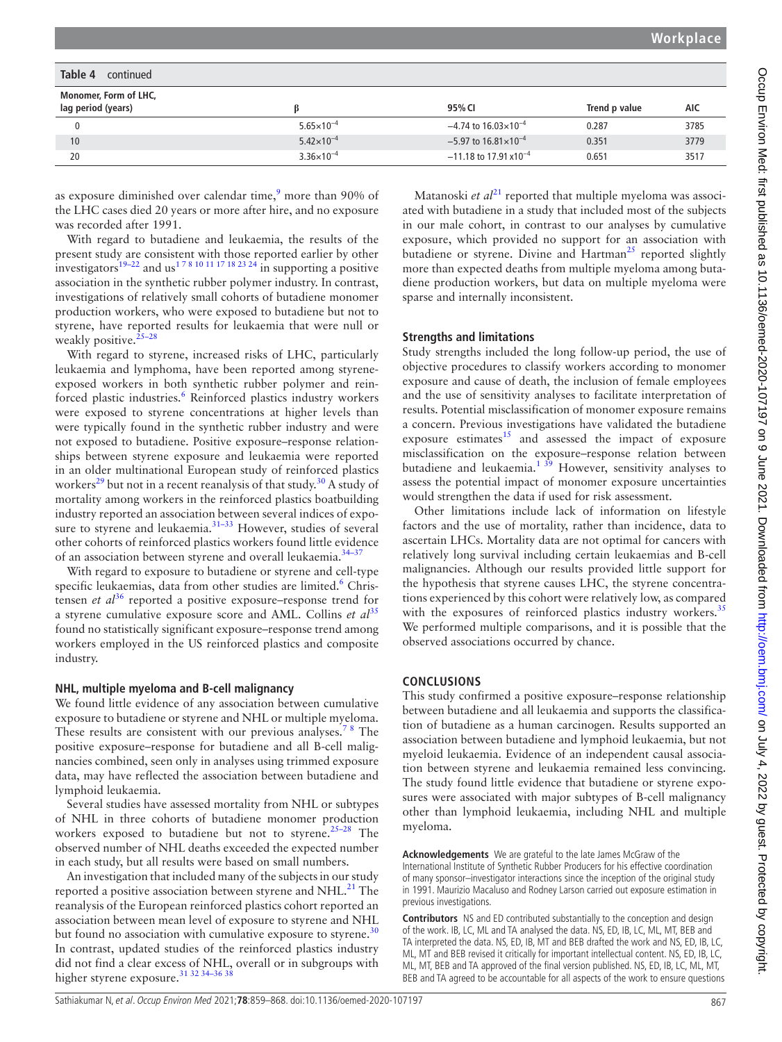| Table 4<br>continued                        |                       |                                            |               |      |
|---------------------------------------------|-----------------------|--------------------------------------------|---------------|------|
| Monomer, Form of LHC,<br>lag period (years) | ß                     | 95% CI                                     | Trend p value | AIC  |
| 0                                           | $5.65 \times 10^{-4}$ | $-4.74$ to 16.03 $\times$ 10 <sup>-4</sup> | 0.287         | 3785 |
| 10                                          | $5.42 \times 10^{-4}$ | $-5.97$ to $16.81 \times 10^{-4}$          | 0.351         | 3779 |
| 20                                          | $3.36 \times 10^{-4}$ | $-11.18$ to 17.91 x10 <sup>-4</sup>        | 0.651         | 3517 |

as exposure diminished over calendar time,<sup>[9](#page-9-7)</sup> more than 90% of the LHC cases died 20 years or more after hire, and no exposure was recorded after 1991.

With regard to butadiene and leukaemia, the results of the present study are consistent with those reported earlier by other investigators<sup>19–22</sup> and us<sup>178</sup> <sup>10 11 17 18 23 24</sup> in supporting a positive association in the synthetic rubber polymer industry. In contrast, investigations of relatively small cohorts of butadiene monomer production workers, who were exposed to butadiene but not to styrene, have reported results for leukaemia that were null or weakly positive.  $25-28$ 

With regard to styrene, increased risks of LHC, particularly leukaemia and lymphoma, have been reported among styreneexposed workers in both synthetic rubber polymer and reinforced plastic industries.<sup>6</sup> Reinforced plastics industry workers were exposed to styrene concentrations at higher levels than were typically found in the synthetic rubber industry and were not exposed to butadiene. Positive exposure–response relationships between styrene exposure and leukaemia were reported in an older multinational European study of reinforced plastics workers<sup>29</sup> but not in a recent reanalysis of that study.<sup>30</sup> A study of mortality among workers in the reinforced plastics boatbuilding industry reported an association between several indices of exposure to styrene and leukaemia.<sup>31–33</sup> However, studies of several other cohorts of reinforced plastics workers found little evidence of an association between styrene and overall leukaemia[.34–37](#page-9-21)

With regard to exposure to butadiene or styrene and cell-type specific leukaemias, data from other studies are limited.<sup>[6](#page-9-4)</sup> Christensen *et al*<sup>36</sup> reported a positive exposure–response trend for a styrene cumulative exposure score and AML. Collins *et al*<sup>[35](#page-9-23)</sup> found no statistically significant exposure–response trend among workers employed in the US reinforced plastics and composite industry.

#### **NHL, multiple myeloma and B-cell malignancy**

We found little evidence of any association between cumulative exposure to butadiene or styrene and NHL or multiple myeloma. These results are consistent with our previous analyses.<sup>78</sup> The positive exposure–response for butadiene and all B-cell malignancies combined, seen only in analyses using trimmed exposure data, may have reflected the association between butadiene and lymphoid leukaemia.

Several studies have assessed mortality from NHL or subtypes of NHL in three cohorts of butadiene monomer production workers exposed to butadiene but not to styrene.<sup>[25–28](#page-9-17)</sup> The observed number of NHL deaths exceeded the expected number in each study, but all results were based on small numbers.

An investigation that included many of the subjects in our study reported a positive association between styrene and  $NHL<sup>21</sup>$ . The reanalysis of the European reinforced plastics cohort reported an association between mean level of exposure to styrene and NHL but found no association with cumulative exposure to styrene.<sup>[30](#page-9-19)</sup> In contrast, updated studies of the reinforced plastics industry did not find a clear excess of NHL, overall or in subgroups with higher styrene exposure.<sup>[31 32 34–36 38](#page-9-20)</sup>

Matanoski *et al*<sup>[21](#page-9-24)</sup> reported that multiple myeloma was associated with butadiene in a study that included most of the subjects in our male cohort, in contrast to our analyses by cumulative exposure, which provided no support for an association with butadiene or styrene. Divine and Hartman<sup>[25](#page-9-17)</sup> reported slightly more than expected deaths from multiple myeloma among butadiene production workers, but data on multiple myeloma were sparse and internally inconsistent.

# **Strengths and limitations**

Study strengths included the long follow-up period, the use of objective procedures to classify workers according to monomer exposure and cause of death, the inclusion of female employees and the use of sensitivity analyses to facilitate interpretation of results. Potential misclassification of monomer exposure remains a concern. Previous investigations have validated the butadiene exposure estimates $15$  and assessed the impact of exposure misclassification on the exposure–response relation between butadiene and leukaemia.<sup>1 39</sup> However, sensitivity analyses to assess the potential impact of monomer exposure uncertainties would strengthen the data if used for risk assessment.

Other limitations include lack of information on lifestyle factors and the use of mortality, rather than incidence, data to ascertain LHCs. Mortality data are not optimal for cancers with relatively long survival including certain leukaemias and B-cell malignancies. Although our results provided little support for the hypothesis that styrene causes LHC, the styrene concentrations experienced by this cohort were relatively low, as compared with the exposures of reinforced plastics industry workers.<sup>[35](#page-9-23)</sup> We performed multiple comparisons, and it is possible that the observed associations occurred by chance.

# **CONCLUSIONS**

This study confirmed a positive exposure–response relationship between butadiene and all leukaemia and supports the classification of butadiene as a human carcinogen. Results supported an association between butadiene and lymphoid leukaemia, but not myeloid leukaemia. Evidence of an independent causal association between styrene and leukaemia remained less convincing. The study found little evidence that butadiene or styrene exposures were associated with major subtypes of B-cell malignancy other than lymphoid leukaemia, including NHL and multiple myeloma.

**Acknowledgements** We are grateful to the late James McGraw of the International Institute of Synthetic Rubber Producers for his effective coordination of many sponsor–investigator interactions since the inception of the original study in 1991. Maurizio Macaluso and Rodney Larson carried out exposure estimation in previous investigations.

**Contributors** NS and ED contributed substantially to the conception and design of the work. IB, LC, ML and TA analysed the data. NS, ED, IB, LC, ML, MT, BEB and TA interpreted the data. NS, ED, IB, MT and BEB drafted the work and NS, ED, IB, LC, ML, MT and BEB revised it critically for important intellectual content. NS, ED, IB, LC, ML, MT, BEB and TA approved of the final version published. NS, ED, IB, LC, ML, MT, BEB and TA agreed to be accountable for all aspects of the work to ensure questions